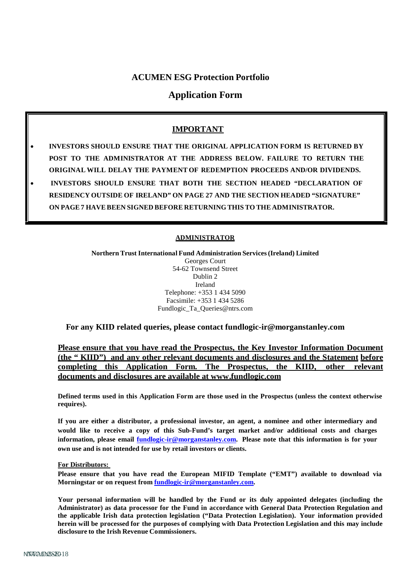# **ACUMEN ESG Protection Portfolio**

# **Application Form**

# **IMPORTANT**

- **INVESTORS SHOULD ENSURE THAT THE ORIGINAL APPLICATION FORM IS RETURNED BY POST TO THE ADMINISTRATOR AT THE ADDRESS BELOW. FAILURE TO RETURN THE ORIGINAL WILL DELAY THE PAYMENT OF REDEMPTION PROCEEDS AND/OR DIVIDENDS.**
- **INVESTORS SHOULD ENSURE THAT BOTH THE SECTION HEADED "DECLARATION OF RESIDENCY OUTSIDE OF IRELAND" ON PAGE 27 AND THE SECTION HEADED "SIGNATURE" ON PAGE7 HAVEBEEN SIGNED BEFORE RETURNINGTHIS TO THE ADMINISTRATOR.**

#### **ADMINISTRATOR**

**Northern Trust International Fund Administration Services(Ireland) Limited** Georges Court 54-62 Townsend Street Dublin 2 Ireland Telephone: +353 1 434 5090 Facsimile: +353 1 434 5286 [Fundlogic\\_Ta\\_Queries@ntrs.com](mailto:Fundlogic_Ta_Queries@ntrs.com)

**For any KIID related queries, please co[ntact fundlogic-ir@morganstanley.com](mailto:fundlogic-ir@morganstanley.com)**

**Please ensure that you have read the Prospectus, the Key Investor Information Document (the " KIID") and any other relevant documents and disclosures and the Statement before completing this Application Form. The Prospectus, the KIID, other relevant documents and disclosures are available at [www.fundlogic.com](http://www.fundlogic.com/)**

**Defined terms used in this Application Form are those used in the Prospectus (unless the context otherwise requires).**

**If you are either a distributor, a professional investor, an agent, a nominee and other intermediary and would like to receive a copy of this Sub-Fund's target market and/or additional costs and charges information, please email [fundlogic-ir@morganstanley.com.](mailto:fundlogic-ir@morganstanley.com) Please note that this information is for your own use and is not intended for use by retail investors or clients.**

#### **For Distributors:**

**Please ensure that you have read the European MIFID Template ("EMT") available to download via Morningstar or on request from [fundlogic-ir@morganstanley.com.](mailto:fundlogic-ir@morganstanley.com)**

**Your personal information will be handled by the Fund or its duly appointed delegates (including the Administrator) as data processor for the Fund in accordance with General Data Protection Regulation and the applicable Irish data protection legislation ("Data Protection Legislation). Your information provided herein will be processed for the purposes of complying with Data Protection Legislation and this may include disclosure to the Irish Revenue Commissioners.**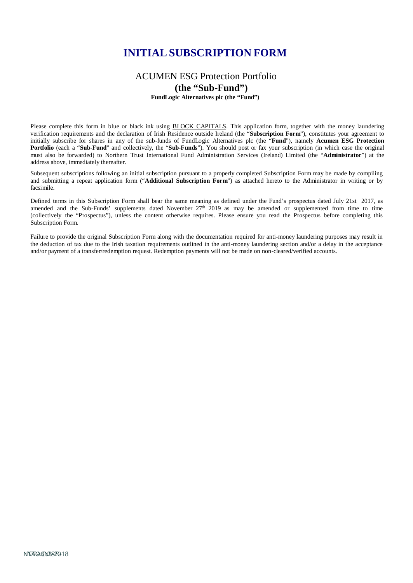# **INITIAL SUBSCRIPTION FORM**

# ACUMEN ESG Protection Portfolio **(the "Sub-Fund")**

**FundLogic Alternatives plc (the "Fund")**

Please complete this form in blue or black ink using BLOCK CAPITALS. This application form, together with the money laundering verification requirements and the declaration of Irish Residence outside Ireland (the "**Subscription Form**"), constitutes your agreement to initially subscribe for shares in any of the sub-funds of FundLogic Alternatives plc (the "**Fund**"), namely **Acumen ESG Protection Portfolio** (each a "**Sub-Fund**" and collectively, the "**Sub-Funds**"). You should post or fax your subscription (in which case the original must also be forwarded) to Northern Trust International Fund Administration Services (Ireland) Limited (the "**Administrator**") at the address above, immediately thereafter.

Subsequent subscriptions following an initial subscription pursuant to a properly completed Subscription Form may be made by compiling and submitting a repeat application form ("**Additional Subscription Form**") as attached hereto to the Administrator in writing or by facsimile.

Defined terms in this Subscription Form shall bear the same meaning as defined under the Fund's prospectus dated July 21st 2017, as amended and the Sub-Funds' supplements dated November  $27<sup>th</sup>$  2019 as may be amended or supplemented from time to time (collectively the "Prospectus"), unless the content otherwise requires. Please ensure you read the Prospectus before completing this Subscription Form.

Failure to provide the original Subscription Form along with the documentation required for anti-money laundering purposes may result in the deduction of tax due to the Irish taxation requirements outlined in the anti-money laundering section and/or a delay in the acceptance and/or payment of a transfer/redemption request. Redemption payments will not be made on non-cleared/verified accounts.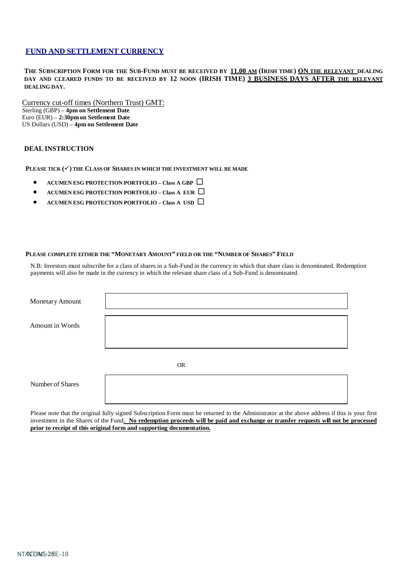## **FUND AND SETTLEMENT CURRENCY**

**THE SUBSCRIPTION FORM FOR THE SUB-FUND MUST BE RECEIVED BY 11.00 AM (IRISH TIME) ON THE RELEVANT DEALING DAY AND CLEARED FUNDS TO BE RECEIVED BY 12 NOON (IRISH TIME) 3 BUSINESS DAYS AFTER THE RELEVANT DEALING DAY.**

Currency cut-off times (Northern Trust) GMT: Sterling (GBP) – **4pm on Settlement Date** Euro (EUR) – **2:30pm on Settlement Date** US Dollars (USD) – **4pm on Settlement Date**

#### **DEAL INSTRUCTION**

**PLEASE TICK () THE CLASS OF SHARES IN WHICH THE INVESTMENT WILL BE MADE**

- **ACUMEN ESG PROTECTION PORTFOLIO – Class A GBP**
- **ACUMEN ESG PROTECTION PORTFOLIO – Class A EUR**
- **ACUMEN ESG PROTECTION PORTFOLIO – Class A USD**

#### **PLEASE COMPLETE EITHER THE "MONETARY AMOUNT" FIELD OR THE "NUMBER OF SHARES" FIELD**

N.B: Investors must subscribe for a class of shares in a Sub-Fund in the currency in which that share class is denominated. Redemption payments will also be made in the currency in which the relevant share class of a Sub-Fund is denominated.

| Monetary Amount  |           |  |
|------------------|-----------|--|
| Amount in Words  |           |  |
|                  | <b>OR</b> |  |
| Number of Shares |           |  |

Please note that the original fully signed Subscription Form must be returned to the Administrator at the above address if this is your first investment in the Shares of the Fund. No redemption proceeds will be paid and exchange or transfer requests will not be processed **prior to receipt of this original form and supporting documentation.**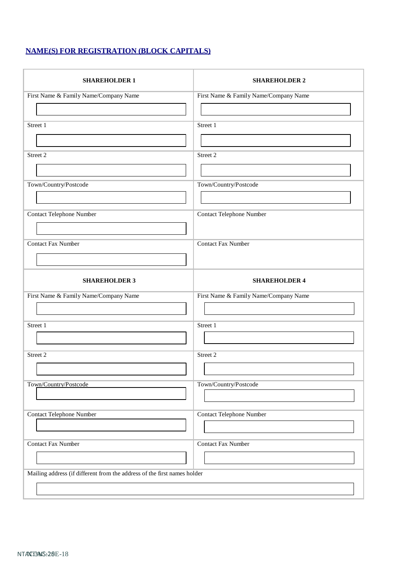# **NAME(S) FOR REGISTRATION (BLOCK CAPITALS)**

| <b>SHAREHOLDER 1</b>                                                     | <b>SHAREHOLDER 2</b>                  |  |  |
|--------------------------------------------------------------------------|---------------------------------------|--|--|
| First Name & Family Name/Company Name                                    | First Name & Family Name/Company Name |  |  |
|                                                                          |                                       |  |  |
| Street 1                                                                 | Street 1                              |  |  |
|                                                                          |                                       |  |  |
| Street 2                                                                 | Street 2                              |  |  |
|                                                                          |                                       |  |  |
| Town/Country/Postcode                                                    | Town/Country/Postcode                 |  |  |
|                                                                          |                                       |  |  |
| Contact Telephone Number                                                 | Contact Telephone Number              |  |  |
|                                                                          |                                       |  |  |
| <b>Contact Fax Number</b>                                                | <b>Contact Fax Number</b>             |  |  |
|                                                                          |                                       |  |  |
| <b>SHAREHOLDER 3</b>                                                     | <b>SHAREHOLDER 4</b>                  |  |  |
| First Name & Family Name/Company Name                                    | First Name & Family Name/Company Name |  |  |
|                                                                          |                                       |  |  |
| Street 1                                                                 | Street 1                              |  |  |
|                                                                          |                                       |  |  |
| Street 2                                                                 | Street 2                              |  |  |
|                                                                          |                                       |  |  |
| Town/Country/Postcode                                                    | Town/Country/Postcode                 |  |  |
|                                                                          |                                       |  |  |
| Contact Telephone Number                                                 | <b>Contact Telephone Number</b>       |  |  |
|                                                                          |                                       |  |  |
| <b>Contact Fax Number</b>                                                | <b>Contact Fax Number</b>             |  |  |
|                                                                          |                                       |  |  |
| Mailing address (if different from the address of the first names holder |                                       |  |  |
|                                                                          |                                       |  |  |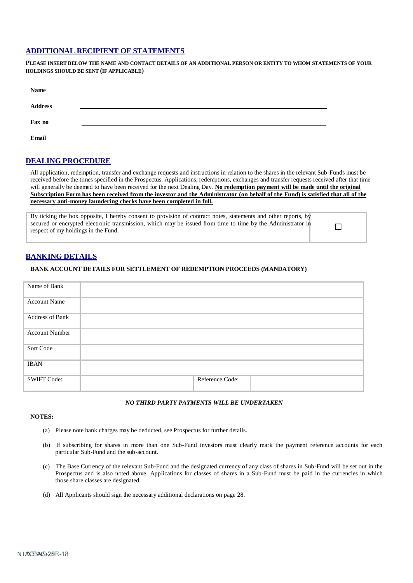#### **ADDITIONAL RECIPIENT OF STATEMENTS**

**PLEASE INSERT BELOW THE NAME AND CONTACT DETAILS OF AN ADDITIONAL PERSON OR ENTITY TO WHOM STATEMENTS OF YOUR HOLDINGS SHOULD BE SENT (IF APPLICABLE)**

| Name           |  |
|----------------|--|
| <b>Address</b> |  |
| Fax no         |  |
| Email          |  |

# **DEALING PROCEDURE**

All application, redemption, transfer and exchange requests and instructions in relation to the shares in the relevant Sub-Funds must be received before the times specified in the Prospectus. Applications, redemptions, exchanges and transfer requests received after that time will generally be deemed to have been received for the next Dealing Day. **No redemption payment will be made until the original** Subscription Form has been received from the investor and the Administrator (on behalf of the Fund) is satisfied that all of the **necessary anti-money laundering checks have been completed in full.**

By ticking the box opposite, I hereby consent to provision of contract notes, statements and other reports, by secured or encrypted electronic transmission, which may be issued from time to time by the Administrator in respect of my holdings in the Fund.

# **BANKING DETAILS**

#### **BANK ACCOUNT DETAILS FOR SETTLEMENT OF REDEMPTION PROCEEDS (MANDATORY)**

| Name of Bank           |                 |  |
|------------------------|-----------------|--|
| <b>Account Name</b>    |                 |  |
| <b>Address of Bank</b> |                 |  |
| <b>Account Number</b>  |                 |  |
| Sort Code              |                 |  |
| <b>IBAN</b>            |                 |  |
| <b>SWIFT Code:</b>     | Reference Code: |  |

#### *NO THIRD PARTY PAYMENTS WILL BE UNDERTAKEN*

#### **NOTES:**

- (a) Please note bank charges may be deducted, see Prospectus for further details.
- (b) If subscribing for shares in more than one Sub-Fund investors must clearly mark the payment reference accounts for each particular Sub-Fund and the sub-account.
- (c) The Base Currency of the relevant Sub-Fund and the designated currency of any class of shares in Sub-Fund will be set out in the Prospectus and is also noted above. Applications for classes of shares in a Sub-Fund must be paid in the currencies in which those share classes are designated.
- (d) All Applicants should sign the necessary additional declarations on page 28.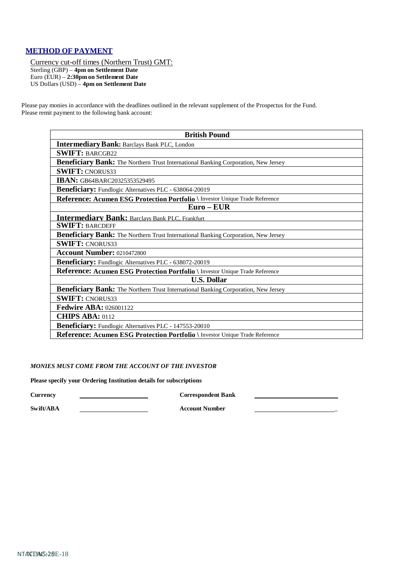# **METHOD OF PAYMENT**

Currency cut-off times (Northern Trust) GMT: Sterling (GBP) – **4pm on Settlement Date** Euro (EUR) – **2:30pm on Settlement Date** US Dollars (USD) – **4pm on Settlement Date**

Please pay monies in accordance with the deadlines outlined in the relevant supplement of the Prospectus for the Fund. Please remit payment to the following bank account:

| <b>British Pound</b>                                                                |  |  |
|-------------------------------------------------------------------------------------|--|--|
| <b>Intermediary Bank: Barclays Bank PLC, London</b>                                 |  |  |
| <b>SWIFT: BARCGB22</b>                                                              |  |  |
| Beneficiary Bank: The Northern Trust International Banking Corporation, New Jersey  |  |  |
| <b>SWIFT: CNORUS33</b>                                                              |  |  |
| <b>IBAN: GB64BARC20325353529495</b>                                                 |  |  |
| <b>Beneficiary:</b> Fundlogic Alternatives PLC - 638064-20019                       |  |  |
| Reference: Acumen ESG Protection Portfolio \ Investor Unique Trade Reference        |  |  |
| $Euro - EUR$                                                                        |  |  |
| <b>Intermediary Bank: Barclays Bank PLC, Frankfurt</b>                              |  |  |
| <b>SWIFT: BARCDEFF</b>                                                              |  |  |
| Beneficiary Bank: The Northern Trust International Banking Corporation, New Jersey  |  |  |
| <b>SWIFT: CNORUS33</b>                                                              |  |  |
| <b>Account Number: 0210472800</b>                                                   |  |  |
| Beneficiary: Fundlogic Alternatives PLC - 638072-20019                              |  |  |
| Reference: Acumen ESG Protection Portfolio \ Investor Unique Trade Reference        |  |  |
| <b>U.S. Dollar</b>                                                                  |  |  |
| Beneficiary Bank: The Northern Trust International Banking Corporation, New Jersey  |  |  |
| <b>SWIFT: CNORUS33</b>                                                              |  |  |
| <b>Fedwire ABA: 026001122</b>                                                       |  |  |
| <b>CHIPS ABA: 0112</b>                                                              |  |  |
| Beneficiary: Fundlogic Alternatives PLC - 147553-20010                              |  |  |
| <b>Reference: Acumen ESG Protection Portfolio</b>   Investor Unique Trade Reference |  |  |

#### *MONIES MUST COME FROM THE ACCOUNT OF THE INVESTOR*

**Please specify your Ordering Institution details for subscriptions**

**Currency Correspondent Bank**

**Swift/ABA Account Number** \_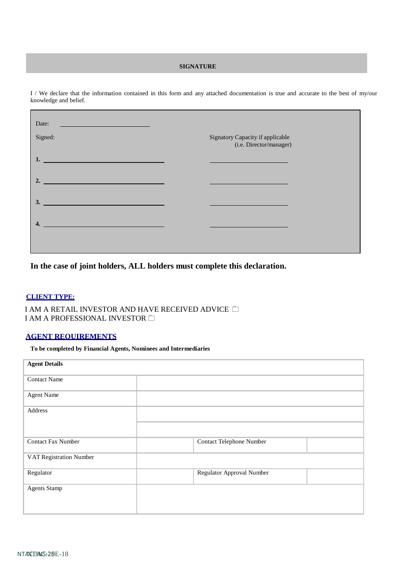#### **SIGNATURE**

I / We declare that the information contained in this form and any attached documentation is true and accurate to the best of my/our knowledge and belief.

| Date:<br><u> 1989 - Johann Stone, markin sammen som s</u>                                                                                                                                                                                  |                                                                                           |
|--------------------------------------------------------------------------------------------------------------------------------------------------------------------------------------------------------------------------------------------|-------------------------------------------------------------------------------------------|
| Signed:                                                                                                                                                                                                                                    | Signatory Capacity if applicable<br>(i.e. Director/manager)                               |
| 1.<br><u>and the state of the state of the state of the state of the state of the state of the state of the state of the state of the state of the state of the state of the state of the state of the state of the state of the state</u> | the control of the control of the control of the control of the control of the control of |
| $\overline{\phantom{a}}$ 2.                                                                                                                                                                                                                | the control of the control of the control of the control of the control of the control of |
| 3.                                                                                                                                                                                                                                         |                                                                                           |
| 4.                                                                                                                                                                                                                                         |                                                                                           |
|                                                                                                                                                                                                                                            |                                                                                           |
|                                                                                                                                                                                                                                            |                                                                                           |

**In the case of joint holders, ALL holders must complete this declaration.**

#### **CLIENT TYPE:**

 I AM A RETAIL INVESTOR AND HAVE RECEIVED ADVICE I AM A PROFESSIONAL INVESTOR

# **AGENT REQUIREMENTS**

**To be completed by Financial Agents, Nominees and Intermediaries**

| <b>Agent Details</b>      |                                 |  |
|---------------------------|---------------------------------|--|
| <b>Contact Name</b>       |                                 |  |
| <b>Agent Name</b>         |                                 |  |
| Address                   |                                 |  |
|                           |                                 |  |
| <b>Contact Fax Number</b> | <b>Contact Telephone Number</b> |  |
| VAT Registration Number   |                                 |  |
| Regulator                 | Regulator Approval Number       |  |
| <b>Agents Stamp</b>       |                                 |  |
|                           |                                 |  |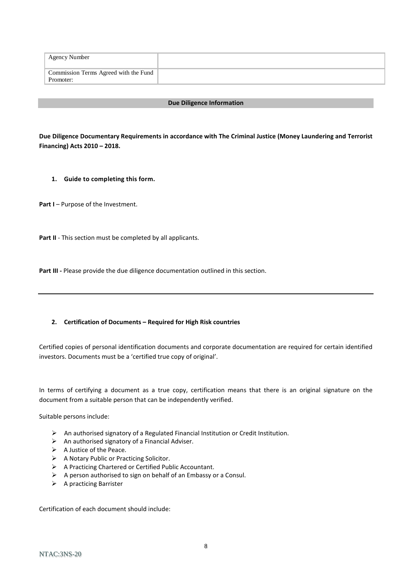| Agency Number                                      |  |
|----------------------------------------------------|--|
| Commission Terms Agreed with the Fund<br>Promoter: |  |

#### **Due Diligence Information**

**Due Diligence Documentary Requirements in accordance with The Criminal Justice (Money Laundering and Terrorist Financing) Acts 2010 – 2018.**

**1. Guide to completing this form.**

**Part I** – Purpose of the Investment.

Part II - This section must be completed by all applicants.

**Part III -** Please provide the due diligence documentation outlined in this section.

#### **2. Certification of Documents – Required for High Risk countries**

Certified copies of personal identification documents and corporate documentation are required for certain identified investors. Documents must be a 'certified true copy of original'.

In terms of certifying a document as a true copy, certification means that there is an original signature on the document from a suitable person that can be independently verified.

Suitable persons include:

- $\triangleright$  An authorised signatory of a Regulated Financial Institution or Credit Institution.
- $\triangleright$  An authorised signatory of a Financial Adviser.
- $\triangleright$  A Justice of the Peace.
- A Notary Public or Practicing Solicitor.
- A Practicing Chartered or Certified Public Accountant.
- $\triangleright$  A person authorised to sign on behalf of an Embassy or a Consul.
- $\triangleright$  A practicing Barrister

Certification of each document should include: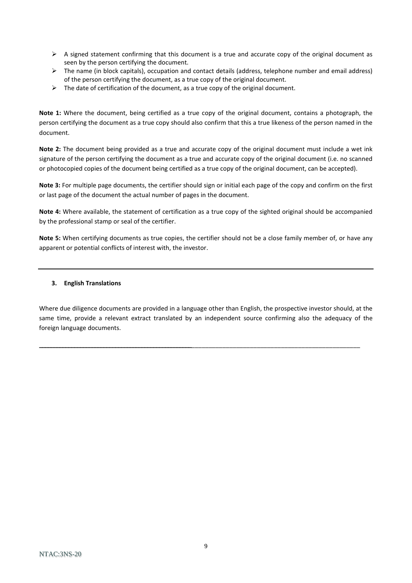- $\triangleright$  A signed statement confirming that this document is a true and accurate copy of the original document as seen by the person certifying the document.
- $\triangleright$  The name (in block capitals), occupation and contact details (address, telephone number and email address) of the person certifying the document, as a true copy of the original document.
- $\triangleright$  The date of certification of the document, as a true copy of the original document.

**Note 1:** Where the document, being certified as a true copy of the original document, contains a photograph, the person certifying the document as a true copy should also confirm that this a true likeness of the person named in the document.

**Note 2:** The document being provided as a true and accurate copy of the original document must include a wet ink signature of the person certifying the document as a true and accurate copy of the original document (i.e. no scanned or photocopied copies of the document being certified as a true copy of the original document, can be accepted).

**Note 3:** For multiple page documents, the certifier should sign or initial each page of the copy and confirm on the first or last page of the document the actual number of pages in the document.

**Note 4:** Where available, the statement of certification as a true copy of the sighted original should be accompanied by the professional stamp or seal of the certifier.

**Note 5:** When certifying documents as true copies, the certifier should not be a close family member of, or have any apparent or potential conflicts of interest with, the investor.

#### **3. English Translations**

Where due diligence documents are provided in a language other than English, the prospective investor should, at the same time, provide a relevant extract translated by an independent source confirming also the adequacy of the foreign language documents.

**\_\_\_\_\_\_\_\_\_\_\_\_\_\_\_\_\_\_\_\_\_\_\_\_\_\_\_\_\_\_\_\_\_\_\_\_\_\_\_\_\_\_\_\_\_\_\_\_\_\_\_\_**\_\_\_\_\_\_\_\_\_\_\_\_\_\_\_\_\_\_\_\_\_\_\_\_\_\_\_\_\_\_\_\_\_\_\_\_\_\_\_\_\_\_\_\_\_\_\_\_\_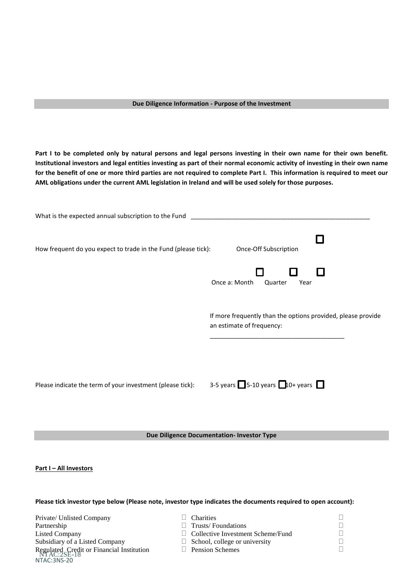#### **Due Diligence Information - Purpose of the Investment**

**Part I to be completed only by natural persons and legal persons investing in their own name for their own benefit. Institutional investors and legal entities investing as part of their normal economic activity of investing in their own name for the benefit of one or more third parties are not required to complete Part I. This information is required to meet our AML obligations under the current AML legislation in Ireland and will be used solely for those purposes.**

| What is the expected annual subscription to the Fund           |                                                                                           |
|----------------------------------------------------------------|-------------------------------------------------------------------------------------------|
| How frequent do you expect to trade in the Fund (please tick): | Once-Off Subscription                                                                     |
|                                                                | Once a: Month<br>Quarter<br>Year                                                          |
|                                                                | If more frequently than the options provided, please provide<br>an estimate of frequency: |
| Please indicate the term of your investment (please tick):     | 3-5 years $\Box$ 5-10 years $\Box$ 10+ years $\Box$                                       |

**Due Diligence Documentation- Investor Type**

**Part I – All Investors**

**Please tick investor type below (Please note, investor type indicates the documents required to open account):**

|  | <b>Charities</b><br>Trusts/Foundations<br>$\Box$ Collective Investment Scheme/Fund<br>$\Box$ School, college or university<br>$\Box$ Pension Schemes |
|--|------------------------------------------------------------------------------------------------------------------------------------------------------|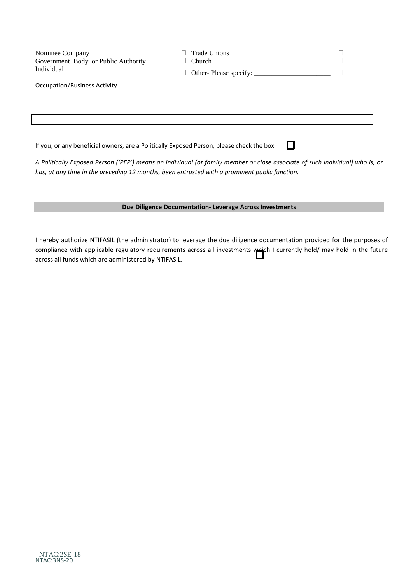| Nominee Company<br>Government Body or Public Authority<br>Individual                          | <b>Trade Unions</b><br>Church                                                                                                |  |  |  |
|-----------------------------------------------------------------------------------------------|------------------------------------------------------------------------------------------------------------------------------|--|--|--|
| Occupation/Business Activity                                                                  |                                                                                                                              |  |  |  |
|                                                                                               |                                                                                                                              |  |  |  |
|                                                                                               |                                                                                                                              |  |  |  |
| If you, or any beneficial owners, are a Politically Exposed Person, please check the box      |                                                                                                                              |  |  |  |
| has, at any time in the preceding 12 months, been entrusted with a prominent public function. | A Politically Exposed Person ('PEP') means an individual (or family member or close associate of such individual) who is, or |  |  |  |

**Due Diligence Documentation- Leverage Across Investments**

I hereby authorize NTIFASIL (the administrator) to leverage the due diligence documentation provided for the purposes of compliance with applicable regulatory requirements across all investments which I currently hold/ may hold in the future across all funds which are administered by NTIFASIL.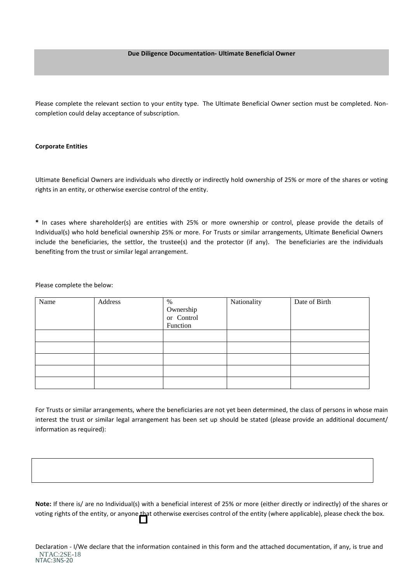#### **Due Diligence Documentation- Ultimate Beneficial Owner**

Please complete the relevant section to your entity type. The Ultimate Beneficial Owner section must be completed. Noncompletion could delay acceptance of subscription.

#### **Corporate Entities**

Ultimate Beneficial Owners are individuals who directly or indirectly hold ownership of 25% or more of the shares or voting rights in an entity, or otherwise exercise control of the entity.

**\*** In cases where shareholder(s) are entities with 25% or more ownership or control, please provide the details of Individual(s) who hold beneficial ownership 25% or more. For Trusts or similar arrangements, Ultimate Beneficial Owners include the beneficiaries, the settlor, the trustee(s) and the protector (if any). The beneficiaries are the individuals benefiting from the trust or similar legal arrangement.

Please complete the below:

| Name | Address | %                       | Nationality | Date of Birth |
|------|---------|-------------------------|-------------|---------------|
|      |         | Ownership<br>or Control |             |               |
|      |         |                         |             |               |
|      |         | Function                |             |               |
|      |         |                         |             |               |
|      |         |                         |             |               |
|      |         |                         |             |               |
|      |         |                         |             |               |
|      |         |                         |             |               |

For Trusts or similar arrangements, where the beneficiaries are not yet been determined, the class of persons in whose main interest the trust or similar legal arrangement has been set up should be stated (please provide an additional document/ information as required):

**Note:** If there is/ are no Individual(s) with a beneficial interest of 25% or more (either directly or indirectly) of the shares or voting rights of the entity, or anyone that otherwise exercises control of the entity (where applicable), please check the box.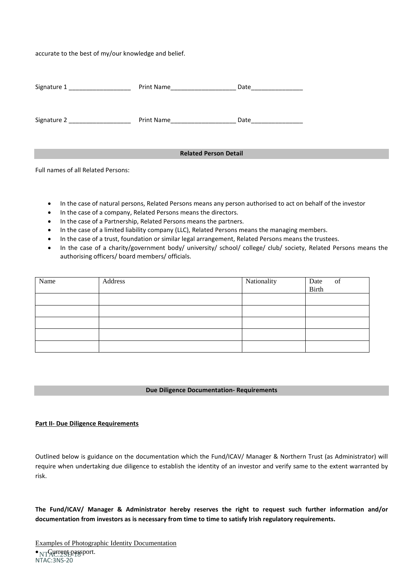accurate to the best of my/our knowledge and belief.

| Signature 1 _________________ | Print Name                   | Date |
|-------------------------------|------------------------------|------|
| Signature 2                   | Print Name                   | Date |
|                               |                              |      |
|                               | <b>Related Person Detail</b> |      |

Full names of all Related Persons:

- In the case of natural persons, Related Persons means any person authorised to act on behalf of the investor
- In the case of a company, Related Persons means the directors.
- In the case of a Partnership, Related Persons means the partners.
- In the case of a limited liability company (LLC), Related Persons means the managing members.
- In the case of a trust, foundation or similar legal arrangement, Related Persons means the trustees.
- In the case of a charity/government body/ university/ school/ college/ club/ society, Related Persons means the authorising officers/ board members/ officials.

| Name | Address | Nationality | Date<br>Birth<br>of |
|------|---------|-------------|---------------------|
|      |         |             |                     |
|      |         |             |                     |
|      |         |             |                     |
|      |         |             |                     |
|      |         |             |                     |

#### **Due Diligence Documentation- Requirements**

#### **Part II- Due Diligence Requirements**

Outlined below is guidance on the documentation which the Fund/ICAV/ Manager & Northern Trust (as Administrator) will require when undertaking due diligence to establish the identity of an investor and verify same to the extent warranted by risk.

**The Fund/ICAV/ Manager & Administrator hereby reserves the right to request such further information and/or documentation from investors as is necessary from time to time to satisfy Irish regulatory requirements.**

· NTAC:2SE-18 sport. NTAC:3NS-20 Examples of Photographic Identity Documentation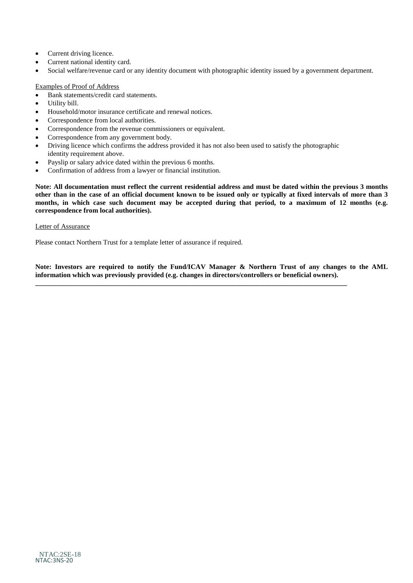- Current driving licence.
- Current national identity card.
- Social welfare/revenue card or any identity document with photographic identity issued by a government department.

#### Examples of Proof of Address

- Bank statements/credit card statements.
- Utility bill.
- Household/motor insurance certificate and renewal notices.
- Correspondence from local authorities.
- Correspondence from the revenue commissioners or equivalent.
- Correspondence from any government body.
- Driving licence which confirms the address provided it has not also been used to satisfy the photographic identity requirement above.
- Payslip or salary advice dated within the previous 6 months.
- Confirmation of address from a lawyer or financial institution.

**Note: All documentation must reflect the current residential address and must be dated within the previous 3 months other than in the case of an official document known to be issued only or typically at fixed intervals of more than 3 months, in which case such document may be accepted during that period, to a maximum of 12 months (e.g. correspondence from local authorities).** 

#### Letter of Assurance

Please contact Northern Trust for a template letter of assurance if required.

**Note: Investors are required to notify the Fund/ICAV Manager & Northern Trust of any changes to the AML information which was previously provided (e.g. changes in directors/controllers or beneficial owners).**

**\_\_\_\_\_\_\_\_\_\_\_\_\_\_\_\_\_\_\_\_\_\_\_\_\_\_\_\_\_\_\_\_\_\_\_\_\_\_\_\_\_\_\_\_\_\_\_\_\_\_\_\_\_\_\_\_\_\_\_\_\_\_\_\_\_\_\_\_\_\_\_\_\_\_\_\_\_\_\_\_\_\_\_\_\_\_\_\_\_\_**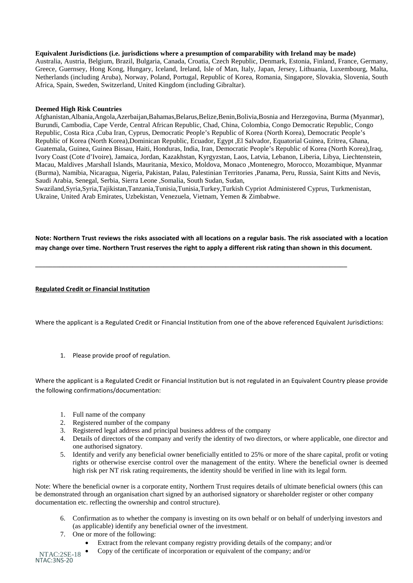#### **Equivalent Jurisdictions (i.e. jurisdictions where a presumption of comparability with Ireland may be made)**

Australia, Austria, Belgium, Brazil, Bulgaria, Canada, Croatia, Czech Republic, Denmark, Estonia, Finland, France, Germany, Greece, Guernsey, Hong Kong, Hungary, Iceland, Ireland, Isle of Man, Italy, Japan, Jersey, Lithuania, Luxembourg, Malta, Netherlands (including Aruba), Norway, Poland, Portugal, Republic of Korea, Romania, Singapore, Slovakia, Slovenia, South Africa, Spain, Sweden, Switzerland, United Kingdom (including Gibraltar).

#### **Deemed High Risk Countries**

Afghanistan,Albania,Angola,Azerbaijan,Bahamas,Belarus,Belize,Benin,Bolivia,Bosnia and Herzegovina, Burma (Myanmar), Burundi, Cambodia, Cape Verde, Central African Republic, Chad, China, Colombia, Congo Democratic Republic, Congo Republic, Costa Rica ,Cuba Iran, Cyprus, Democratic People's Republic of Korea (North Korea), Democratic People's Republic of Korea (North Korea),Dominican Republic, Ecuador, Egypt ,El Salvador, Equatorial Guinea, Eritrea, Ghana, Guatemala, Guinea, Guinea Bissau, Haiti, Honduras, India, Iran, Democratic People's Republic of Korea (North Korea),Iraq, Ivory Coast (Cote d'Ivoire), Jamaica, Jordan, Kazakhstan, Kyrgyzstan, Laos, Latvia, Lebanon, Liberia, Libya, Liechtenstein, Macau, Maldives ,Marshall Islands, Mauritania, Mexico, Moldova, Monaco ,Montenegro, Morocco, Mozambique, Myanmar (Burma), Namibia, Nicaragua, Nigeria, Pakistan, Palau, Palestinian Territories ,Panama, Peru, Russia, Saint Kitts and Nevis, Saudi Arabia, Senegal, Serbia, Sierra Leone ,Somalia, South Sudan, Sudan,

Swaziland,Syria,Syria,Tajikistan,Tanzania,Tunisia,Tunisia,Turkey,Turkish Cypriot Administered Cyprus, Turkmenistan, Ukraine, United Arab Emirates, Uzbekistan, Venezuela, Vietnam, Yemen & Zimbabwe.

**Note: Northern Trust reviews the risks associated with all locations on a regular basis. The risk associated with a location may change over time. Northern Trust reserves the right to apply a different risk rating than shown in this document.** 

**\_\_\_\_\_\_\_\_\_\_\_\_\_\_\_\_\_\_\_\_\_\_\_\_\_\_\_\_\_\_\_\_\_\_\_\_\_\_\_\_\_\_\_\_\_\_\_\_\_\_\_\_\_\_\_\_\_\_\_\_\_\_\_\_\_\_\_\_\_\_\_\_\_\_\_\_\_\_\_\_\_\_\_\_\_\_\_\_\_\_**

#### **Regulated Credit or Financial Institution**

Where the applicant is a Regulated Credit or Financial Institution from one of the above referenced Equivalent Jurisdictions:

1. Please provide proof of regulation.

Where the applicant is a Regulated Credit or Financial Institution but is not regulated in an Equivalent Country please provide the following confirmations/documentation:

- 1. Full name of the company
- 2. Registered number of the company
- 3. Registered legal address and principal business address of the company
- 4. Details of directors of the company and verify the identity of two directors, or where applicable, one director and one authorised signatory.
- 5. Identify and verify any beneficial owner beneficially entitled to 25% or more of the share capital, profit or voting rights or otherwise exercise control over the management of the entity. Where the beneficial owner is deemed high risk per NT risk rating requirements, the identity should be verified in line with its legal form.

Note: Where the beneficial owner is a corporate entity, Northern Trust requires details of ultimate beneficial owners (this can be demonstrated through an organisation chart signed by an authorised signatory or shareholder register or other company documentation etc. reflecting the ownership and control structure).

- 6. Confirmation as to whether the company is investing on its own behalf or on behalf of underlying investors and (as applicable) identify any beneficial owner of the investment.
- 7. One or more of the following:
	- Extract from the relevant company registry providing details of the company; and/or
	- Copy of the certificate of incorporation or equivalent of the company; and/or

NTAC:2SE-18 NTAC:3NS-20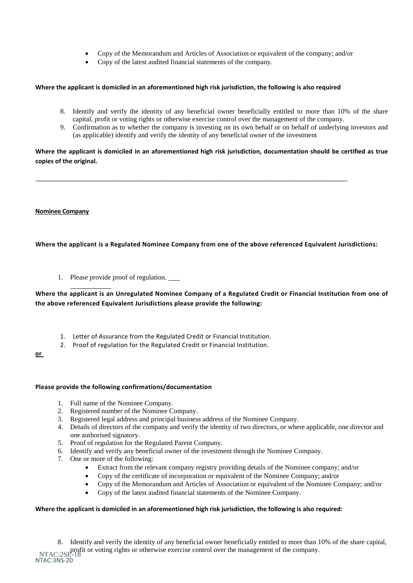- Copy of the Memorandum and Articles of Association or equivalent of the company; and/or
- Copy of the latest audited financial statements of the company.

#### **Where the applicant is domiciled in an aforementioned high risk jurisdiction, the following is also required**

\_\_\_\_\_\_\_\_\_\_\_\_\_\_\_\_\_\_\_\_\_\_\_\_\_\_\_\_\_\_\_\_\_\_\_\_\_\_\_\_\_\_\_\_\_\_\_\_\_\_\_\_\_\_\_\_\_\_\_\_\_\_\_\_\_\_\_\_\_\_\_\_\_\_\_\_\_\_\_\_\_\_\_\_\_\_\_\_\_\_

- 8. Identify and verify the identity of any beneficial owner beneficially entitled to more than 10% of the share capital, profit or voting rights or otherwise exercise control over the management of the company.
- 9. Confirmation as to whether the company is investing on its own behalf or on behalf of underlying investors and (as applicable) identify and verify the identity of any beneficial owner of the investment

**Where the applicant is domiciled in an aforementioned high risk jurisdiction, documentation should be certified as true copies of the original.**

#### **Nominee Company**

 $\overline{a}$ 

#### **Where the applicant is a Regulated Nominee Company from one of the above referenced Equivalent Jurisdictions:**

1. Please provide proof of regulation.

# **Where the applicant is an Unregulated Nominee Company of a Regulated Credit or Financial Institution from one of the above referenced Equivalent Jurisdictions please provide the following:**

- 1. Letter of Assurance from the Regulated Credit or Financial Institution.
- 2. Proof of regulation for the Regulated Credit or Financial Institution.

**or** 

#### **Please provide the following confirmations/documentation**

- 1. Full name of the Nominee Company.
- 2. Registered number of the Nominee Company.
- 3. Registered legal address and principal business address of the Nominee Company.
- 4. Details of directors of the company and verify the identity of two directors, or where applicable, one director and one authorised signatory.
- 5. Proof of regulation for the Regulated Parent Company.
- 6. Identify and verify any beneficial owner of the investment through the Nominee Company.
- 7. One or more of the following:
	- Extract from the relevant company registry providing details of the Nominee company; and/or
	- Copy of the certificate of incorporation or equivalent of the Nominee Company; and/or
	- Copy of the Memorandum and Articles of Association or equivalent of the Nominee Company; and/or
	- Copy of the latest audited financial statements of the Nominee Company.

#### **Where the applicant is domiciled in an aforementioned high risk jurisdiction, the following is also required:**

profit or voting rights or otherwise exercise control over the management of the company.<br>NTAC:2SE-18 NTAC:3NS-20 8. Identify and verify the identity of any beneficial owner beneficially entitled to more than 10% of the share capital,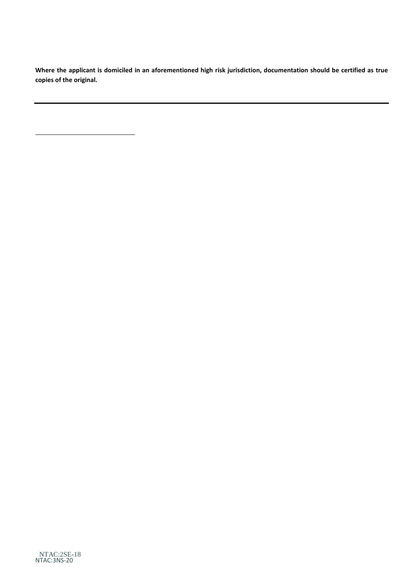**Where the applicant is domiciled in an aforementioned high risk jurisdiction, documentation should be certified as true copies of the original.**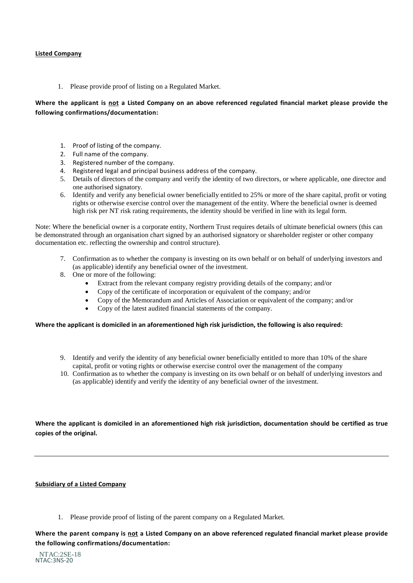#### **Listed Company**

1. Please provide proof of listing on a Regulated Market.

# **Where the applicant is not a Listed Company on an above referenced regulated financial market please provide the following confirmations/documentation:**

- 1. Proof of listing of the company.
- 2. Full name of the company.
- 3. Registered number of the company.
- 4. Registered legal and principal business address of the company.
- 5. Details of directors of the company and verify the identity of two directors, or where applicable, one director and one authorised signatory.
- 6. Identify and verify any beneficial owner beneficially entitled to 25% or more of the share capital, profit or voting rights or otherwise exercise control over the management of the entity. Where the beneficial owner is deemed high risk per NT risk rating requirements, the identity should be verified in line with its legal form.

Note: Where the beneficial owner is a corporate entity, Northern Trust requires details of ultimate beneficial owners (this can be demonstrated through an organisation chart signed by an authorised signatory or shareholder register or other company documentation etc. reflecting the ownership and control structure).

- 7. Confirmation as to whether the company is investing on its own behalf or on behalf of underlying investors and (as applicable) identify any beneficial owner of the investment.
- 8. One or more of the following:
	- Extract from the relevant company registry providing details of the company; and/or
	- Copy of the certificate of incorporation or equivalent of the company; and/or
	- Copy of the Memorandum and Articles of Association or equivalent of the company; and/or
	- Copy of the latest audited financial statements of the company.

#### **Where the applicant is domiciled in an aforementioned high risk jurisdiction, the following is also required:**

- 9. Identify and verify the identity of any beneficial owner beneficially entitled to more than 10% of the share capital, profit or voting rights or otherwise exercise control over the management of the company
- 10. Confirmation as to whether the company is investing on its own behalf or on behalf of underlying investors and (as applicable) identify and verify the identity of any beneficial owner of the investment.

**Where the applicant is domiciled in an aforementioned high risk jurisdiction, documentation should be certified as true copies of the original.**

#### **Subsidiary of a Listed Company**

1. Please provide proof of listing of the parent company on a Regulated Market.

**Where the parent company is not a Listed Company on an above referenced regulated financial market please provide the following confirmations/documentation:**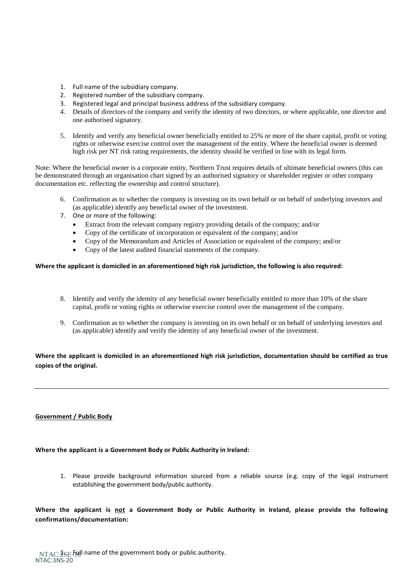- 1. Full name of the subsidiary company.
- 2. Registered number of the subsidiary company.
- 3. Registered legal and principal business address of the subsidiary company.
- 4. Details of directors of the company and verify the identity of two directors, or where applicable, one director and one authorised signatory.
- 5. Identify and verify any beneficial owner beneficially entitled to 25% or more of the share capital, profit or voting rights or otherwise exercise control over the management of the entity. Where the beneficial owner is deemed high risk per NT risk rating requirements, the identity should be verified in line with its legal form.

Note: Where the beneficial owner is a corporate entity, Northern Trust requires details of ultimate beneficial owners (this can be demonstrated through an organisation chart signed by an authorised signatory or shareholder register or other company documentation etc. reflecting the ownership and control structure).

- 6. Confirmation as to whether the company is investing on its own behalf or on behalf of underlying investors and (as applicable) identify any beneficial owner of the investment.
- 7. One or more of the following:
	- Extract from the relevant company registry providing details of the company; and/or
	- Copy of the certificate of incorporation or equivalent of the company; and/or
	- Copy of the Memorandum and Articles of Association or equivalent of the company; and/or
	- Copy of the latest audited financial statements of the company.

#### **Where the applicant is domiciled in an aforementioned high risk jurisdiction, the following is also required:**

- 8. Identify and verify the identity of any beneficial owner beneficially entitled to more than 10% of the share capital, profit or voting rights or otherwise exercise control over the management of the company.
- 9. Confirmation as to whether the company is investing on its own behalf or on behalf of underlying investors and (as applicable) identify and verify the identity of any beneficial owner of the investment.

## **Where the applicant is domiciled in an aforementioned high risk jurisdiction, documentation should be certified as true copies of the original.**

#### **Government / Public Body**

#### **Where the applicant is a Government Body or Public Authority in Ireland:**

1. Please provide background information sourced from a reliable source (e.g. copy of the legal instrument establishing the government body/public authority.

**Where the applicant is not a Government Body or Public Authority in Ireland, please provide the following confirmations/documentation:**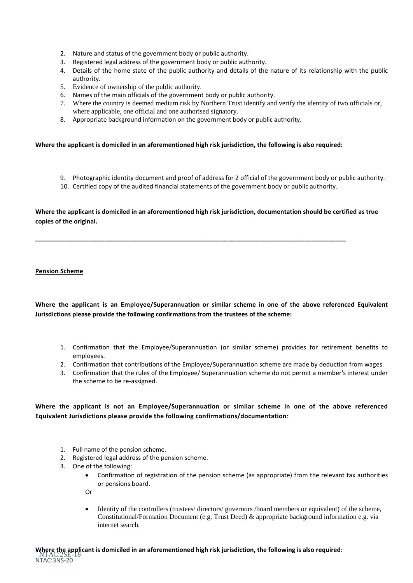- 2. Nature and status of the government body or public authority.
- 3. Registered legal address of the government body or public authority.
- 4. Details of the home state of the public authority and details of the nature of its relationship with the public authority.
- 5. Evidence of ownership of the public authority.
- 6. Names of the main officials of the government body or public authority.
- 7. Where the country is deemed medium risk by Northern Trust identify and verify the identity of two officials or, where applicable, one official and one authorised signatory.
- 8. Appropriate background information on the government body or public authority.

#### **Where the applicant is domiciled in an aforementioned high risk jurisdiction, the following is also required:**

**\_\_\_\_\_\_\_\_\_\_\_\_\_\_\_\_\_\_\_\_\_\_\_\_\_\_\_\_\_\_\_\_\_\_\_\_\_\_\_\_\_\_\_\_\_\_\_\_\_\_\_\_\_\_\_\_\_\_\_\_\_\_\_\_\_\_\_\_\_\_\_\_\_\_\_\_\_\_\_\_\_\_\_\_\_\_\_\_\_\_**

- 9. Photographic identity document and proof of address for 2 official of the government body or public authority.
- 10. Certified copy of the audited financial statements of the government body or public authority.

**Where the applicant is domiciled in an aforementioned high risk jurisdiction, documentation should be certified as true copies of the original.**

#### **Pension Scheme**

**Where the applicant is an Employee/Superannuation or similar scheme in one of the above referenced Equivalent Jurisdictions please provide the following confirmations from the trustees of the scheme:**

- 1. Confirmation that the Employee/Superannuation (or similar scheme) provides for retirement benefits to employees.
- 2. Confirmation that contributions of the Employee/Superannuation scheme are made by deduction from wages.
- 3. Confirmation that the rules of the Employee/ Superannuation scheme do not permit a member's interest under the scheme to be re-assigned.

# **Where the applicant is not an Employee/Superannuation or similar scheme in one of the above referenced Equivalent Jurisdictions please provide the following confirmations/documentation**:

- 1. Full name of the pension scheme.
- 2. Registered legal address of the pension scheme.
- 3. One of the following:
	- Confirmation of registration of the pension scheme (as appropriate) from the relevant tax authorities or pensions board.

Or

• Identity of the controllers (trustees/ directors/ governors /board members or equivalent) of the scheme, Constitutional/Formation Document (e.g. Trust Deed) & appropriate background information e.g. via internet search.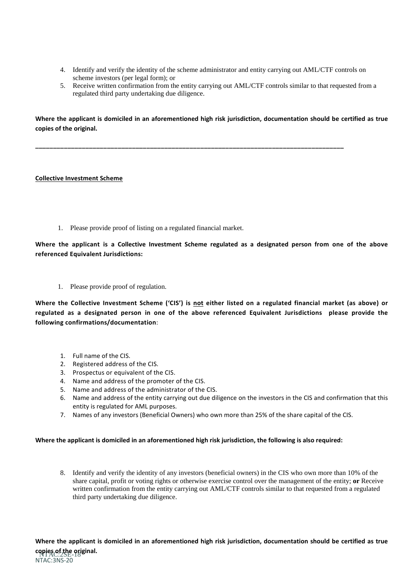- 4. Identify and verify the identity of the scheme administrator and entity carrying out AML/CTF controls on scheme investors (per legal form); or
- 5. Receive written confirmation from the entity carrying out AML/CTF controls similar to that requested from a regulated third party undertaking due diligence.

**Where the applicant is domiciled in an aforementioned high risk jurisdiction, documentation should be certified as true copies of the original.**

**\_\_\_\_\_\_\_\_\_\_\_\_\_\_\_\_\_\_\_\_\_\_\_\_\_\_\_\_\_\_\_\_\_\_\_\_\_\_\_\_\_\_\_\_\_\_\_\_\_\_\_\_\_\_\_\_\_\_\_\_\_\_\_\_\_\_\_\_\_\_\_\_\_\_\_\_\_\_\_\_\_\_\_\_\_\_**

#### **Collective Investment Scheme**

1. Please provide proof of listing on a regulated financial market.

**Where the applicant is a Collective Investment Scheme regulated as a designated person from one of the above referenced Equivalent Jurisdictions:**

1. Please provide proof of regulation.

**Where the Collective Investment Scheme ('CIS') is not either listed on a regulated financial market (as above) or regulated as a designated person in one of the above referenced Equivalent Jurisdictions please provide the following confirmations/documentation**:

- 1. Full name of the CIS.
- 2. Registered address of the CIS.
- 3. Prospectus or equivalent of the CIS.
- 4. Name and address of the promoter of the CIS.
- 5. Name and address of the administrator of the CIS.
- 6. Name and address of the entity carrying out due diligence on the investors in the CIS and confirmation that this entity is regulated for AML purposes.
- 7. Names of any investors (Beneficial Owners) who own more than 25% of the share capital of the CIS.

#### **Where the applicant is domiciled in an aforementioned high risk jurisdiction, the following is also required:**

8. Identify and verify the identity of any investors (beneficial owners) in the CIS who own more than 10% of the share capital, profit or voting rights or otherwise exercise control over the management of the entity; **or** Receive written confirmation from the entity carrying out AML/CTF controls similar to that requested from a regulated third party undertaking due diligence.

NTAC:2SE-18 **copies of the original.**NTAC:3NS-20 **Where the applicant is domiciled in an aforementioned high risk jurisdiction, documentation should be certified as true**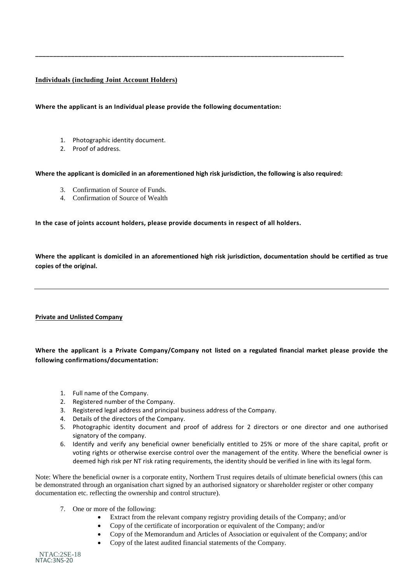# **Individuals (including Joint Account Holders)**

**Where the applicant is an Individual please provide the following documentation:**

- 1. Photographic identity document.
- 2. Proof of address.

**Where the applicant is domiciled in an aforementioned high risk jurisdiction, the following is also required:**

**\_\_\_\_\_\_\_\_\_\_\_\_\_\_\_\_\_\_\_\_\_\_\_\_\_\_\_\_\_\_\_\_\_\_\_\_\_\_\_\_\_\_\_\_\_\_\_\_\_\_\_\_\_\_\_\_\_\_\_\_\_\_\_\_\_\_\_\_\_\_\_\_\_\_\_\_\_\_\_\_\_\_\_\_\_\_**

- 3. Confirmation of Source of Funds.
- 4. Confirmation of Source of Wealth

**In the case of joints account holders, please provide documents in respect of all holders.**

**Where the applicant is domiciled in an aforementioned high risk jurisdiction, documentation should be certified as true copies of the original.**

#### **Private and Unlisted Company**

**Where the applicant is a Private Company/Company not listed on a regulated financial market please provide the following confirmations/documentation:**

- 1. Full name of the Company.
- 2. Registered number of the Company.
- 3. Registered legal address and principal business address of the Company.
- 4. Details of the directors of the Company.
- 5. Photographic identity document and proof of address for 2 directors or one director and one authorised signatory of the company.
- 6. Identify and verify any beneficial owner beneficially entitled to 25% or more of the share capital, profit or voting rights or otherwise exercise control over the management of the entity. Where the beneficial owner is deemed high risk per NT risk rating requirements, the identity should be verified in line with its legal form.

Note: Where the beneficial owner is a corporate entity, Northern Trust requires details of ultimate beneficial owners (this can be demonstrated through an organisation chart signed by an authorised signatory or shareholder register or other company documentation etc. reflecting the ownership and control structure).

- 7. One or more of the following:
	- Extract from the relevant company registry providing details of the Company; and/or
	- Copy of the certificate of incorporation or equivalent of the Company; and/or
	- Copy of the Memorandum and Articles of Association or equivalent of the Company; and/or
	- Copy of the latest audited financial statements of the Company.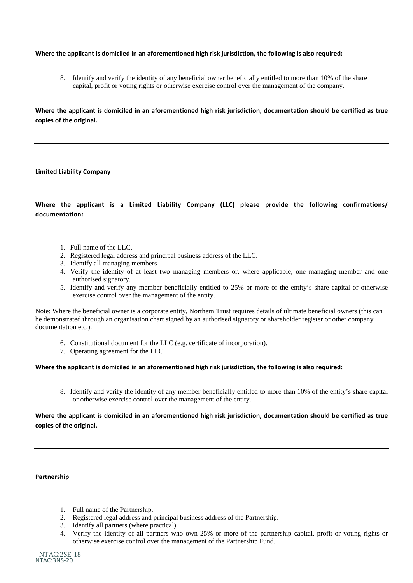#### **Where the applicant is domiciled in an aforementioned high risk jurisdiction, the following is also required:**

8. Identify and verify the identity of any beneficial owner beneficially entitled to more than 10% of the share capital, profit or voting rights or otherwise exercise control over the management of the company.

**Where the applicant is domiciled in an aforementioned high risk jurisdiction, documentation should be certified as true copies of the original.**

#### **Limited Liability Company**

**Where the applicant is a Limited Liability Company (LLC) please provide the following confirmations/ documentation:**

- 1. Full name of the LLC.
- 2. Registered legal address and principal business address of the LLC.
- 3. Identify all managing members
- 4. Verify the identity of at least two managing members or, where applicable, one managing member and one authorised signatory.
- 5. Identify and verify any member beneficially entitled to 25% or more of the entity's share capital or otherwise exercise control over the management of the entity.

Note: Where the beneficial owner is a corporate entity, Northern Trust requires details of ultimate beneficial owners (this can be demonstrated through an organisation chart signed by an authorised signatory or shareholder register or other company documentation etc.).

- 6. Constitutional document for the LLC (e.g. certificate of incorporation).
- 7. Operating agreement for the LLC

#### **Where the applicant is domiciled in an aforementioned high risk jurisdiction, the following is also required:**

8. Identify and verify the identity of any member beneficially entitled to more than 10% of the entity's share capital or otherwise exercise control over the management of the entity.

**Where the applicant is domiciled in an aforementioned high risk jurisdiction, documentation should be certified as true copies of the original.**

#### **Partnership**

- 1. Full name of the Partnership.
- 2. Registered legal address and principal business address of the Partnership.
- 3. Identify all partners (where practical)
- 4. Verify the identity of all partners who own 25% or more of the partnership capital, profit or voting rights or otherwise exercise control over the management of the Partnership Fund.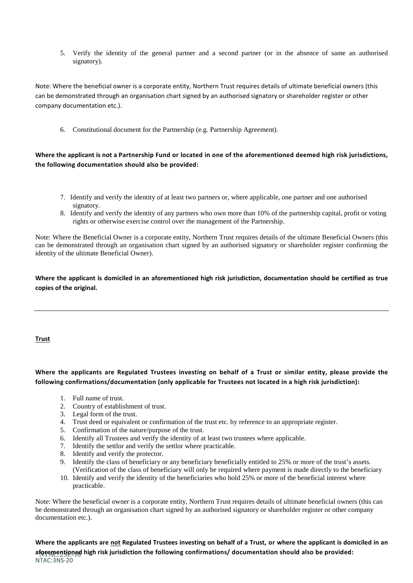5. Verify the identity of the general partner and a second partner (or in the absence of same an authorised signatory).

Note: Where the beneficial owner is a corporate entity, Northern Trust requires details of ultimate beneficial owners (this can be demonstrated through an organisation chart signed by an authorised signatory or shareholder register or other company documentation etc.).

6. Constitutional document for the Partnership (e.g. Partnership Agreement).

# **Where the applicant is not a Partnership Fund or located in one of the aforementioned deemed high risk jurisdictions, the following documentation should also be provided:**

- 7. Identify and verify the identity of at least two partners or, where applicable, one partner and one authorised signatory.
- 8. Identify and verify the identity of any partners who own more than 10% of the partnership capital, profit or voting rights or otherwise exercise control over the management of the Partnership.

Note: Where the Beneficial Owner is a corporate entity, Northern Trust requires details of the ultimate Beneficial Owners (this can be demonstrated through an organisation chart signed by an authorised signatory or shareholder register confirming the identity of the ultimate Beneficial Owner).

**Where the applicant is domiciled in an aforementioned high risk jurisdiction, documentation should be certified as true copies of the original.**

#### **Trust**

**Where the applicants are Regulated Trustees investing on behalf of a Trust or similar entity, please provide the following confirmations/documentation (only applicable for Trustees not located in a high risk jurisdiction):**

- 1. Full name of trust.
- 2. Country of establishment of trust.
- 3. Legal form of the trust.
- 4. Trust deed or equivalent or confirmation of the trust etc. by reference to an appropriate register.
- 5. Confirmation of the nature/purpose of the trust.
- 6. Identify all Trustees and verify the identity of at least two trustees where applicable.
- 7. Identify the settlor and verify the settlor where practicable.
- 8. Identify and verify the protector.
- 9. Identify the class of beneficiary or any beneficiary beneficially entitled to 25% or more of the trust's assets. (Verification of the class of beneficiary will only be required where payment is made directly to the beneficiary
- 10. Identify and verify the identity of the beneficiaries who hold 25% or more of the beneficial interest where practicable.

Note: Where the beneficial owner is a corporate entity, Northern Trust requires details of ultimate beneficial owners (this can be demonstrated through an organisation chart signed by an authorised signatory or shareholder register or other company documentation etc.).

aforementioned high risk jurisdiction the following confirmations/ documentation should also be provided: NTAC:3NS-20 **Where the applicants are not Regulated Trustees investing on behalf of a Trust, or where the applicant is domiciled in an**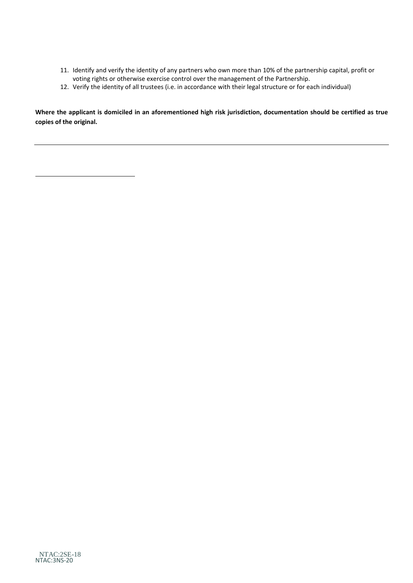- 11. Identify and verify the identity of any partners who own more than 10% of the partnership capital, profit or voting rights or otherwise exercise control over the management of the Partnership.
- 12. Verify the identity of all trustees (i.e. in accordance with their legal structure or for each individual)

**Where the applicant is domiciled in an aforementioned high risk jurisdiction, documentation should be certified as true copies of the original.**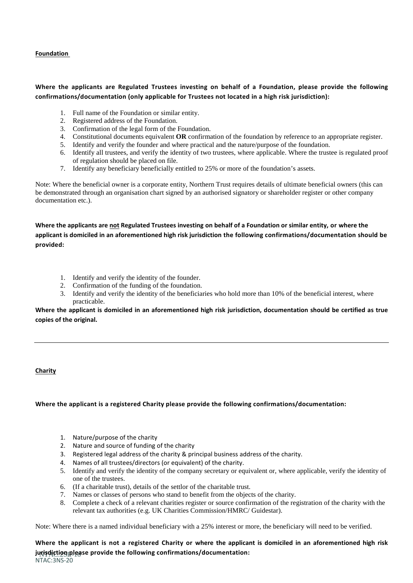**Foundation** 

# **Where the applicants are Regulated Trustees investing on behalf of a Foundation, please provide the following confirmations/documentation (only applicable for Trustees not located in a high risk jurisdiction):**

- 1. Full name of the Foundation or similar entity.
- 2. Registered address of the Foundation.
- 3. Confirmation of the legal form of the Foundation.
- 4. Constitutional documents equivalent **OR** confirmation of the foundation by reference to an appropriate register.
- 5. Identify and verify the founder and where practical and the nature/purpose of the foundation.
- 6. Identify all trustees, and verify the identity of two trustees, where applicable. Where the trustee is regulated proof of regulation should be placed on file.
- 7. Identify any beneficiary beneficially entitled to 25% or more of the foundation's assets.

Note: Where the beneficial owner is a corporate entity, Northern Trust requires details of ultimate beneficial owners (this can be demonstrated through an organisation chart signed by an authorised signatory or shareholder register or other company documentation etc.).

**Where the applicants are not Regulated Trustees investing on behalf of a Foundation or similar entity, or where the applicant is domiciled in an aforementioned high risk jurisdiction the following confirmations/documentation should be provided:**

- 1. Identify and verify the identity of the founder.
- 2. Confirmation of the funding of the foundation.
- 3. Identify and verify the identity of the beneficiaries who hold more than 10% of the beneficial interest, where practicable.

**Where the applicant is domiciled in an aforementioned high risk jurisdiction, documentation should be certified as true copies of the original.**

# **Charity**

#### **Where the applicant is a registered Charity please provide the following confirmations/documentation:**

- 1. Nature/purpose of the charity
- 2. Nature and source of funding of the charity
- 3. Registered legal address of the charity & principal business address of the charity.
- 4. Names of all trustees/directors (or equivalent) of the charity.
- 5. Identify and verify the identity of the company secretary or equivalent or, where applicable, verify the identity of one of the trustees.
- 6. (If a charitable trust), details of the settlor of the charitable trust.
- 7. Names or classes of persons who stand to benefit from the objects of the charity.
- 8. Complete a check of a relevant charities register or source confirmation of the registration of the charity with the relevant tax authorities (e.g. UK Charities Commission/HMRC/ Guidestar).

Note: Where there is a named individual beneficiary with a 25% interest or more, the beneficiary will need to be verified.

NTAC:2SE-18 **jurisdiction please provide the following confirmations/documentation:**NTAC:3NS-20 **Where the applicant is not a registered Charity or where the applicant is domiciled in an aforementioned high risk**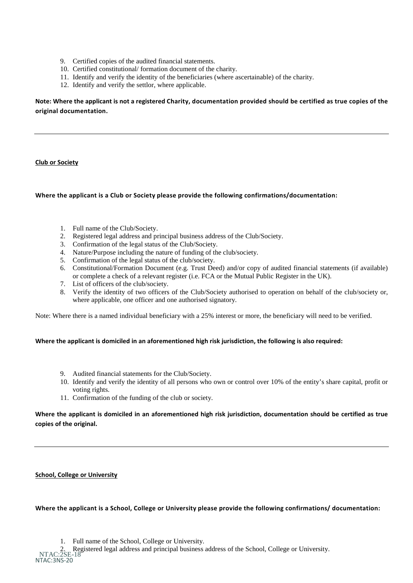- 9. Certified copies of the audited financial statements.
- 10. Certified constitutional/ formation document of the charity.
- 11. Identify and verify the identity of the beneficiaries (where ascertainable) of the charity.
- 12. Identify and verify the settlor, where applicable.

**Note: Where the applicant is not a registered Charity, documentation provided should be certified as true copies of the original documentation.**

#### **Club or Society**

#### **Where the applicant is a Club or Society please provide the following confirmations/documentation:**

- 1. Full name of the Club/Society.
- 2. Registered legal address and principal business address of the Club/Society.
- 3. Confirmation of the legal status of the Club/Society.
- 4. Nature/Purpose including the nature of funding of the club/society.
- 5. Confirmation of the legal status of the club/society.
- 6. Constitutional/Formation Document (e.g. Trust Deed) and/or copy of audited financial statements (if available) or complete a check of a relevant register (i.e. FCA or the Mutual Public Register in the UK).
- 7. List of officers of the club/society.
- 8. Verify the identity of two officers of the Club/Society authorised to operation on behalf of the club/society or, where applicable, one officer and one authorised signatory.

Note: Where there is a named individual beneficiary with a 25% interest or more, the beneficiary will need to be verified.

#### **Where the applicant is domiciled in an aforementioned high risk jurisdiction, the following is also required:**

- 9. Audited financial statements for the Club/Society.
- 10. Identify and verify the identity of all persons who own or control over 10% of the entity's share capital, profit or voting rights.
- 11. Confirmation of the funding of the club or society.

## **Where the applicant is domiciled in an aforementioned high risk jurisdiction, documentation should be certified as true copies of the original.**

#### **School, College or University**

**Where the applicant is a School, College or University please provide the following confirmations/ documentation:**

NTAC:2SE-18 2. Registered legal address and principal business address of the School, College or University.NTAC:3NS-20

<sup>1.</sup> Full name of the School, College or University.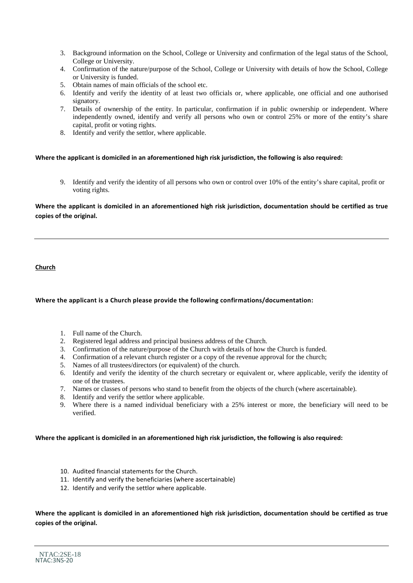- 3. Background information on the School, College or University and confirmation of the legal status of the School, College or University.
- 4. Confirmation of the nature/purpose of the School, College or University with details of how the School, College or University is funded.
- 5. Obtain names of main officials of the school etc.
- 6. Identify and verify the identity of at least two officials or, where applicable, one official and one authorised signatory.
- 7. Details of ownership of the entity. In particular, confirmation if in public ownership or independent. Where independently owned, identify and verify all persons who own or control 25% or more of the entity's share capital, profit or voting rights.
- 8. Identify and verify the settlor, where applicable.

#### **Where the applicant is domiciled in an aforementioned high risk jurisdiction, the following is also required:**

9. Identify and verify the identity of all persons who own or control over 10% of the entity's share capital, profit or voting rights.

**Where the applicant is domiciled in an aforementioned high risk jurisdiction, documentation should be certified as true copies of the original.**

**Church**

# **Where the applicant is a Church please provide the following confirmations/documentation:**

- 1. Full name of the Church.
- 2. Registered legal address and principal business address of the Church.
- 3. Confirmation of the nature/purpose of the Church with details of how the Church is funded.
- 4. Confirmation of a relevant church register or a copy of the revenue approval for the church;
- 5. Names of all trustees/directors (or equivalent) of the church.
- 6. Identify and verify the identity of the church secretary or equivalent or, where applicable, verify the identity of one of the trustees.
- 7. Names or classes of persons who stand to benefit from the objects of the church (where ascertainable).
- 8. Identify and verify the settlor where applicable.
- 9. Where there is a named individual beneficiary with a 25% interest or more, the beneficiary will need to be verified.

#### **Where the applicant is domiciled in an aforementioned high risk jurisdiction, the following is also required:**

- 10. Audited financial statements for the Church.
- 11. Identify and verify the beneficiaries (where ascertainable)
- 12. Identify and verify the settlor where applicable.

**Where the applicant is domiciled in an aforementioned high risk jurisdiction, documentation should be certified as true copies of the original.**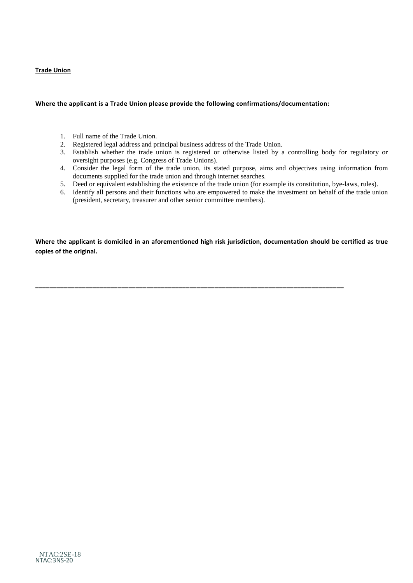#### **Trade Union**

#### **Where the applicant is a Trade Union please provide the following confirmations/documentation:**

- 1. Full name of the Trade Union.
- 2. Registered legal address and principal business address of the Trade Union.
- 3. Establish whether the trade union is registered or otherwise listed by a controlling body for regulatory or oversight purposes (e.g. Congress of Trade Unions).
- 4. Consider the legal form of the trade union, its stated purpose, aims and objectives using information from documents supplied for the trade union and through internet searches.
- 5. Deed or equivalent establishing the existence of the trade union (for example its constitution, bye-laws, rules).
- 6. Identify all persons and their functions who are empowered to make the investment on behalf of the trade union (president, secretary, treasurer and other senior committee members).

**Where the applicant is domiciled in an aforementioned high risk jurisdiction, documentation should be certified as true copies of the original.**

**\_\_\_\_\_\_\_\_\_\_\_\_\_\_\_\_\_\_\_\_\_\_\_\_\_\_\_\_\_\_\_\_\_\_\_\_\_\_\_\_\_\_\_\_\_\_\_\_\_\_\_\_\_\_\_\_\_\_\_\_\_\_\_\_\_\_\_\_\_\_\_\_\_\_\_\_\_\_\_\_\_\_\_\_\_\_**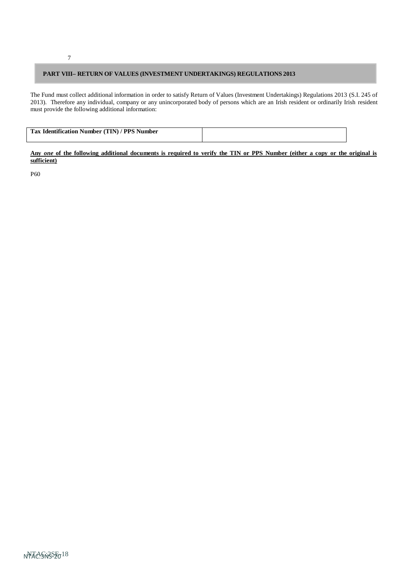#### **PART VIII– RETURN OF VALUES (INVESTMENT UNDERTAKINGS) REGULATIONS 2013**

The Fund must collect additional information in order to satisfy Return of Values (Investment Undertakings) Regulations 2013 (S.I. 245 of 2013). Therefore any individual, company or any unincorporated body of persons which are an Irish resident or ordinarily Irish resident must provide the following additional information:

| Tax Identification Number (TIN) / PPS Number |  |
|----------------------------------------------|--|
|                                              |  |

<u>Any one of the following additional documents is required to verify the TIN or PPS Number (either a copy or the original is</u> **sufficient)**

P60

7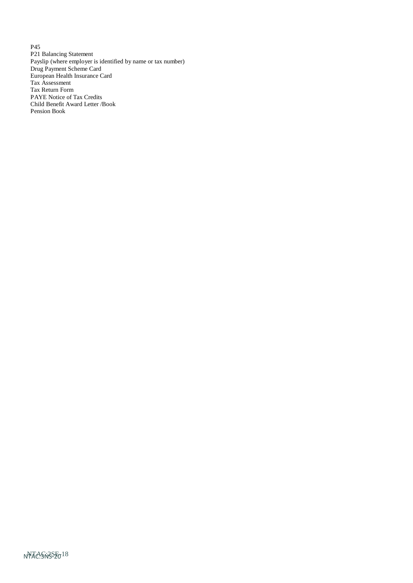P45 P21 Balancing Statement Payslip (where employer is identified by name or tax number) Drug Payment Scheme Card European Health Insurance Card Tax Assessment Tax Return Form PAYE Notice of Tax Credits Child Benefit Award Letter /Book Pension Book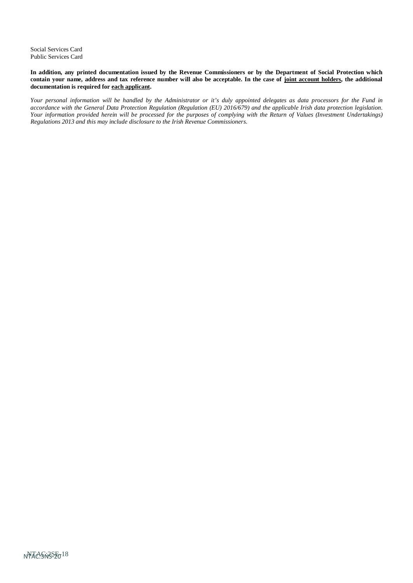Social Services Card Public Services Card

In addition, any printed documentation issued by the Revenue Commissioners or by the Department of Social Protection which contain your name, address and tax reference number will also be acceptable. In the case of joint account holders, the additional **documentation is required for each applicant.**

Your personal information will be handled by the Administrator or it's duly appointed delegates as data processors for the Fund in accordance with the General Data Protection Regulation (Regulation (EU) 2016/679) and the applicable Irish data protection legislation. *Your information provided herein will be processed for the purposes of complying with the Return of Values (Investment Undertakings) Regulations 2013 and this may include disclosure to the Irish Revenue Commissioners.*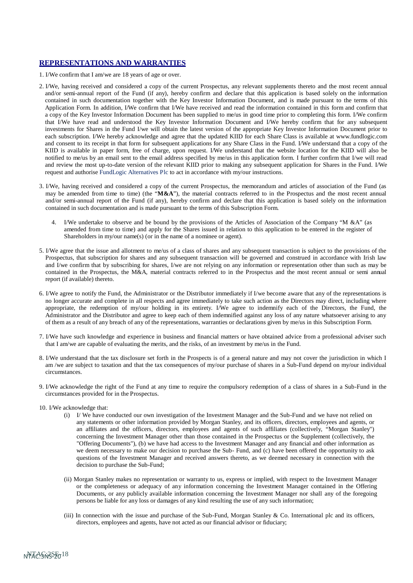#### **REPRESENTATIONS AND WARRANTIES**

- 1. I/We confirm that I am/we are 18 years of age or over.
- 2. I/We, having received and considered a copy of the current Prospectus, any relevant supplements thereto and the most recent annual and/or semi-annual report of the Fund (if any), hereby confirm and declare that this application is based solely on the information contained in such documentation together with the Key Investor Information Document, and is made pursuant to the terms of this Application Form. In addition, I/We confirm that I/We have received and read the information contained in this form and confirm that a copy of the Key Investor Information Document has been supplied to me/us in good time prior to completing this form. I/We confirm that I/We have read and understood the Key Investor Information Document and I/We hereby confirm that for any subsequent investments for Shares in the Fund I/we will obtain the latest version of the appropriate Key Investor Information Document prior to each subscription. I/We hereby acknowledge and agree that the updated KIID for each Share Class is available at [www.fundlogic.com](http://www.fundlogic.com/) and consent to its receipt in that form for subsequent applications for any Share Class in the Fund. I/We understand that a copy of the KIID is available in paper form, free of charge, upon request. I/We understand that the website location for the KIID will also be notified to me/us by an email sent to the email address specified by me/us in this application form. I further confirm that I/we will read and review the most up-to-date version of the relevant KIID prior to making any subsequent application for Shares in the Fund. I/We request and authorise FundLogic Alternatives Plc to act in accordance with my/our instructions.
- 3. I/We, having received and considered a copy of the current Prospectus, the memorandum and articles of association of the Fund (as may be amended from time to time) (the "**M&A**"), the material contracts referred to in the Prospectus and the most recent annual and/or semi-annual report of the Fund (if any), hereby confirm and declare that this application is based solely on the information contained in such documentation and is made pursuant to the terms of this Subscription Form.
	- 4. I/We undertake to observe and be bound by the provisions of the Articles of Association of the Company "M &A" (as amended from time to time) and apply for the Shares issued in relation to this application to be entered in the register of Shareholders in my/our name(s) (or in the name of a nominee or agent).
- 5. I/We agree that the issue and allotment to me/us of a class of shares and any subsequent transaction is subject to the provisions of the Prospectus, that subscription for shares and any subsequent transaction will be governed and construed in accordance with Irish law and I/we confirm that by subscribing for shares, I/we are not relying on any information or representation other than such as may be contained in the Prospectus, the M&A, material contracts referred to in the Prospectus and the most recent annual or semi annual report (if available) thereto.
- 6. I/We agree to notify the Fund, the Administrator or the Distributor immediately if I/we become aware that any of the representations is no longer accurate and complete in all respects and agree immediately to take such action as the Directors may direct, including where appropriate, the redemption of my/our holding in its entirety. I/We agree to indemnify each of the Directors, the Fund, the Administrator and the Distributor and agree to keep each of them indemnified against any loss of any nature whatsoever arising to any of them as a result of any breach of any of the representations, warranties or declarations given by me/us in this Subscription Form.
- 7. I/We have such knowledge and experience in business and financial matters or have obtained advice from a professional adviser such that I am/we are capable of evaluating the merits, and the risks, of an investment by me/us in the Fund.
- 8. I/We understand that the tax disclosure set forth in the Prospects is of a general nature and may not cover the jurisdiction in which I am /we are subject to taxation and that the tax consequences of my/our purchase of shares in a Sub-Fund depend on my/our individual circumstances.
- 9. I/We acknowledge the right of the Fund at any time to require the compulsory redemption of a class of shares in a Sub-Fund in the circumstances provided for in the Prospectus.
- 10. I/We acknowledge that:
	- (i) I/ We have conducted our own investigation of the Investment Manager and the Sub-Fund and we have not relied on any statements or other information provided by Morgan Stanley, and its officers, directors, employees and agents, or an affiliates and the officers, directors, employees and agents of such affiliates (collectively, "Morgan Stanley") concerning the Investment Manager other than those contained in the Prospectus or the Supplement (collectively, the "Offering Documents"), (b) we have had access to the Investment Manager and any financial and other information as we deem necessary to make our decision to purchase the Sub- Fund, and (c) have been offered the opportunity to ask questions of the Investment Manager and received answers thereto, as we deemed necessary in connection with the decision to purchase the Sub-Fund;
	- (ii) Morgan Stanley makes no representation or warranty to us, express or implied, with respect to the Investment Manager or the completeness or adequacy of any information concerning the Investment Manager contained in the Offering Documents, or any publicly available information concerning the Investment Manager nor shall any of the foregoing persons be liable for any loss or damages of any kind resulting the use of any such information;
	- (iii) In connection with the issue and purchase of the Sub-Fund, Morgan Stanley & Co. International plc and its officers, directors, employees and agents, have not acted as our financial advisor or fiduciary;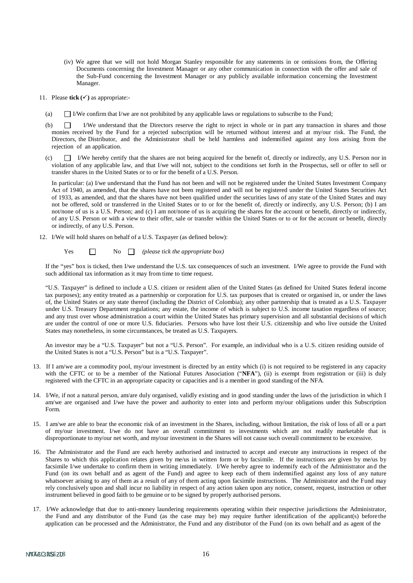- (iv) We agree that we will not hold Morgan Stanley responsible for any statements in or omissions from, the Offering Documents concerning the Investment Manager or any other communication in connection with the offer and sale of the Sub-Fund concerning the Investment Manager or any publicly available information concerning the Investment Manager.
- 11. Please **tick ()** as appropriate:-
	- (a)  $\Box$  I/We confirm that I/we are not prohibited by any applicable laws or regulations to subscribe to the Fund;
	- (b) I/We understand that the Directors reserve the right to reject in whole or in part any transaction in shares and those monies received by the Fund for a rejected subscription will be returned without interest and at my/our risk. The Fund, the Directors, the Distributor, and the Administrator shall be held harmless and indemnified against any loss arising from the rejection of an application.
	- (c)  $\Box$  I/We hereby certify that the shares are not being acquired for the benefit of, directly or indirectly, any U.S. Person nor in violation of any applicable law, and that I/we will not, subject to the conditions set forth in the Prospectus, sell or offer to sell or transfer shares in the United States or to or for the benefit of a U.S. Person.

In particular: (a) I/we understand that the Fund has not been and will not be registered under the United States Investment Company Act of 1940, as amended, that the shares have not been registered and will not be registered under the United States Securities Act of 1933, as amended, and that the shares have not been qualified under the securities laws of any state of the United States and may not be offered, sold or transferred in the United States or to or for the benefit of, directly or indirectly, any U.S. Person; (b) I am not/none of us is a U.S. Person; and (c) I am not/none of us is acquiring the shares for the account or benefit, directly or indirectly, of any U.S. Person or with a view to their offer, sale or transfer within the United States or to or for the account or benefit, directly or indirectly, of any U.S. Person.

12. I/We will hold shares on behalf of a U.S. Taxpayer (as defined below):

Yes No *(please tick the appropriate box)*

If the "yes" box is ticked, then I/we understand the U.S. tax consequences of such an investment. I/We agree to provide the Fund with such additional tax information as it may from time to time request.

"U.S. Taxpayer" is defined to include a U.S. citizen or resident alien of the United States (as defined for United States federal income tax purposes); any entity treated as a partnership or corporation for U.S. tax purposes that is created or organised in, or under the laws of, the United States or any state thereof (including the District of Colombia); any other partnership that is treated as a U.S. Taxpayer under U.S. Treasury Department regulations; any estate, the income of which is subject to U.S. income taxation regardless of source; and any trust over whose administration a court within the United States has primary supervision and all substantial decisions of which are under the control of one or more U.S. fiduciaries. Persons who have lost their U.S. citizenship and who live outside the United States may nonetheless, in some circumstances, be treated as U.S. Taxpayers.

An investor may be a "U.S. Taxpayer" but not a "U.S. Person". For example, an individual who is a U.S. citizen residing outside of the United States is not a "U.S. Person" but is a "U.S. Taxpayer".

- 13. If I am/we are a commodity pool, my/our investment is directed by an entity which (i) is not required to be registered in any capacity with the CFTC or to be a member of the National Futures Association ("NFA"), (ii) is exempt from registration or (iii) is duly registered with the CFTC in an appropriate capacity or capacities and is a member in good standing of the NFA.
- 14. I/We, if not a natural person, am/are duly organised, validly existing and in good standing under the laws of the jurisdiction in which I am/we are organised and I/we have the power and authority to enter into and perform my/our obligations under this Subscription Form.
- 15. I am/we are able to bear the economic risk of an investment in the Shares, including, without limitation, the risk of loss of all or a part of my/our investment. I/we do not have an overall commitment to investments which are not readily marketable that is disproportionate to my/our net worth, and my/our investment in the Shares will not cause such overall commitment to be excessive.
- 16. The Administrator and the Fund are each hereby authorised and instructed to accept and execute any instructions in respect of the Shares to which this application relates given by me/us in written form or by facsimile. If the instructions are given by me/us by facsimile I/we undertake to confirm them in writing immediately. I/We hereby agree to indemnify each of the Administrator and the Fund (on its own behalf and as agent of the Fund) and agree to keep each of them indemnified against any loss of any nature whatsoever arising to any of them as a result of any of them acting upon facsimile instructions. The Administrator and the Fund may rely conclusively upon and shall incur no liability in respect of any action taken upon any notice, consent, request, instruction or other instrument believed in good faith to be genuine or to be signed by properly authorised persons.
- 17. I/We acknowledge that due to anti-money laundering requirements operating within their respective jurisdictions the Administrator, the Fund and any distributor of the Fund (as the case may be) may require further identification of the applicant(s) before the application can be processed and the Administrator, the Fund and any distributor of the Fund (on its own behalf and as agent of the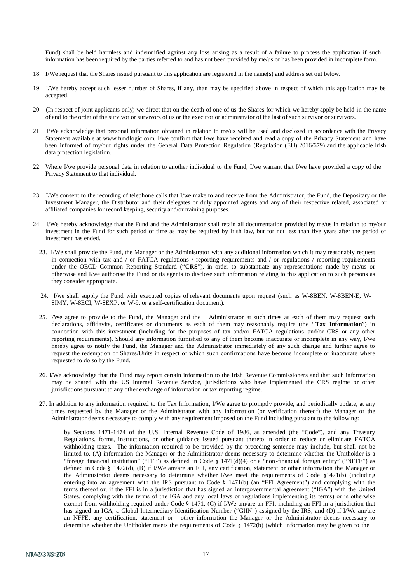Fund) shall be held harmless and indemnified against any loss arising as a result of a failure to process the application if such information has been required by the parties referred to and has not been provided by me/us or has been provided in incomplete form.

- 18. I/We request that the Shares issued pursuant to this application are registered in the name(s) and address set out below.
- 19. I/We hereby accept such lesser number of Shares, if any, than may be specified above in respect of which this application may be accepted.
- 20. (In respect of joint applicants only) we direct that on the death of one of us the Shares for which we hereby apply be held in the name of and to the order of the survivor or survivors of us or the executor or administrator of the last of such survivor or survivors.
- 21. I/We acknowledge that personal information obtained in relation to me/us will be used and disclosed in accordance with the Privacy Statement available at [www.fundlogic.com.](http://www.fundlogic.com/) I/we confirm that I/we have received and read a copy of the Privacy Statement and have been informed of my/our rights under the General Data Protection Regulation (Regulation (EU) 2016/679) and the applicable Irish data protection legislation.
- 22. Where I/we provide personal data in relation to another individual to the Fund, I/we warrant that I/we have provided a copy of the Privacy Statement to that individual.
- 23. I/We consent to the recording of telephone calls that I/we make to and receive from the Administrator, the Fund, the Depositary or the Investment Manager, the Distributor and their delegates or duly appointed agents and any of their respective related, associated or affiliated companies for record keeping, security and/or training purposes.
- 24. I/We hereby acknowledge that the Fund and the Administrator shall retain all documentation provided by me/us in relation to my/our investment in the Fund for such period of time as may be required by Irish law, but for not less than five years after the period of investment has ended.
	- 23. I/We shall provide the Fund, the Manager or the Administrator with any additional information which it may reasonably request in connection with tax and / or FATCA regulations / reporting requirements and / or regulations / reporting requirements under the OECD Common Reporting Standard ("**CRS**"), in order to substantiate any representations made by me/us or otherwise and I/we authorise the Fund or its agents to disclose such information relating to this application to such persons as they consider appropriate.
	- 24. I/we shall supply the Fund with executed copies of relevant documents upon request (such as W-8BEN, W-8BEN-E, W-8IMY, W-8ECI, W-8EXP, or W-9, or a self-certification document).
	- 25. I/We agree to provide to the Fund, the Manager and the Administrator at such times as each of them may request such declarations, affidavits, certificates or documents as each of them may reasonably require (the "**Tax Information**") in connection with this investment (including for the purposes of tax and/or FATCA regulations and/or CRS or any other reporting requirements). Should any information furnished to any of them become inaccurate or incomplete in any way, I/we hereby agree to notify the Fund, the Manager and the Administrator immediately of any such change and further agree to request the redemption of Shares/Units in respect of which such confirmations have become incomplete or inaccurate where requested to do so by the Fund.
	- 26. I/We acknowledge that the Fund may report certain information to the Irish Revenue Commissioners and that such information may be shared with the US Internal Revenue Service, jurisdictions who have implemented the CRS regime or other jurisdictions pursuant to any other exchange of information or tax reporting regime.
	- 27. In addition to any information required to the Tax Information, I/We agree to promptly provide, and periodically update, at any times requested by the Manager or the Administrator with any information (or verification thereof) the Manager or the Administrator deems necessary to comply with any requirement imposed on the Fund including pursuant to the following:

by Sections 1471-1474 of the U.S. Internal Revenue Code of 1986, as amended (the "Code"), and any Treasury Regulations, forms, instructions, or other guidance issued pursuant thereto in order to reduce or eliminate FATCA withholding taxes. The information required to be provided by the preceding sentence may include, but shall not be limited to, (A) information the Manager or the Administrator deems necessary to determine whether the Unitholder is a "foreign financial institution" ("FFI") as defined in Code § 1471(d)(4) or a "non-financial foreign entity" ("NFFE") as defined in Code § 1472(d), (B) if I/We am/are an FFI, any certification, statement or other information the Manager or the Administrator deems necessary to determine whether I/we meet the requirements of Code §1471(b) (including entering into an agreement with the IRS pursuant to Code § 1471(b) (an "FFI Agreement") and complying with the terms thereof or, if the FFI is in a jurisdiction that has signed an intergovernmental agreement ("IGA") with the United States, complying with the terms of the IGA and any local laws or regulations implementing its terms) or is otherwise exempt from withholding required under Code § 1471, (C) if I/We am/are an FFI, including an FFI in a jurisdiction that has signed an IGA, a Global Intermediary Identification Number ("GIIN") assigned by the IRS; and (D) if I/We am/are an NFFE, any certification, statement or other information the Manager or the Administrator deems necessary to determine whether the Unitholder meets the requirements of Code § 1472(b) (which information may be given to the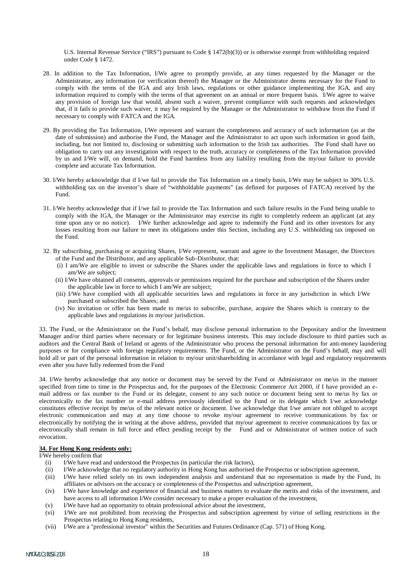U.S. Internal Revenue Service ("IRS") pursuant to Code § 1472(b)(3)) or is otherwise exempt from withholding required under Code § 1472.

- 28. In addition to the Tax Information, I/We agree to promptly provide, at any times requested by the Manager or the Administrator, any information (or verification thereof) the Manager or the Administrator deems necessary for the Fund to comply with the terms of the IGA and any Irish laws, regulations or other guidance implementing the IGA, and any information required to comply with the terms of that agreement on an annual or more frequent basis. I/We agree to waive any provision of foreign law that would, absent such a waiver, prevent compliance with such requests and acknowledges that, if it fails to provide such waiver, it may be required by the Manager or the Administrator to withdraw from the Fund if necessary to comply with FATCA and the IGA.
- 29. By providing the Tax Information, I/We represent and warrant the completeness and accuracy of such information (as at the date of submission) and authorise the Fund, the Manager and the Administrator to act upon such information in good faith, including, but not limited to, disclosing or submitting such information to the Irish tax authorities. The Fund shall have no obligation to carry out any investigation with respect to the truth, accuracy or completeness of the Tax Information provided by us and I/We will, on demand, hold the Fund harmless from any liability resulting from the my/our failure to provide complete and accurate Tax Information.
- 30. I/We hereby acknowledge that if I/we fail to provide the Tax Information on a timely basis, I/We may be subject to 30% U.S. withholding tax on the investor's share of "withholdable payments" (as defined for purposes of FATCA) received by the Fund.
- 31. I/We hereby acknowledge that if I/we fail to provide the Tax Information and such failure results in the Fund being unable to comply with the IGA, the Manager or the Administrator may exercise its right to completely redeem an applicant (at any time upon any or no notice). I/We further acknowledge and agree to indemnify the Fund and its other investors for any losses resulting from our failure to meet its obligations under this Section, including any U.S. withholding tax imposed on the Fund.
- 32. By subscribing, purchasing or acquiring Shares, I/We represent, warrant and agree to the Investment Manager, the Directors of the Fund and the Distributor, and any applicable Sub-Distributor, that:
	- (i) I am/We are eligible to invest or subscribe the Shares under the applicable laws and regulations in force to which I am/We are subject;
	- (ii) I/We have obtained all consents, approvals or permissions required for the purchase and subscription of the Shares under the applicable law in force to which I am/We are subject;
	- (iii) I/We have complied with all applicable securities laws and regulations in force in any jurisdiction in which I/We purchased or subscribed the Shares; and
	- (iv) No invitation or offer has been made to me/us to subscribe, purchase, acquire the Shares which is contrary to the applicable laws and regulations in my/our jurisdiction.

33. The Fund, or the Administrator on the Fund's behalf, may disclose personal information to the Depositary and/or the Investment Manager and/or third parties where necessary or for legitimate business interests. This may include disclosure to third parties such as auditors and the Central Bank of Ireland or agents of the Administrator who process the personal information for anti-money laundering purposes or for compliance with foreign regulatory requirements. The Fund, or the Administrator on the Fund's behalf, may and will hold all or part of the personal information in relation to my/our unit/shareholding in accordance with legal and regulatory requirements even after you have fully redeemed from the Fund

34. I/We hereby acknowledge that any notice or document may be served by the Fund or Administrator on me/us in the manner specified from time to time in the Prospectus and, for the purposes of the Electronic Commerce Act 2000, if I have provided an email address or fax number to the Fund or its delegate, consent to any such notice or document being sent to me/us by fax or electronically to the fax number or e-mail address previously identified to the Fund or its delegate which I/we acknowledge constitutes effective receipt by me/us of the relevant notice or document. I/we acknowledge that I/we am/are not obliged to accept electronic communication and may at any time choose to revoke my/our agreement to receive communications by fax or electronically by notifying the in writing at the above address, provided that my/our agreement to receive communications by fax or electronically shall remain in full force and effect pending receipt by the Fund and or Administrator of written notice of such revocation.

#### **34. For Hong Kong residents only:**

I/We hereby confirm that

- (i) I/We have read and understood the Prospectus (in particular the risk factors),
- (ii) I/We acknowledge that no regulatory authority in Hong Kong has authorised the Prospectus or subscription agreement,
- (iii) I/We have relied solely on its own independent analysis and understand that no representation is made by the Fund, its affiliates or advisors on the accuracy or completeness of the Prospectus and subscription agreement,
- (iv) I/We have knowledge and experience of financial and business matters to evaluate the merits and risks of the investment, and have access to all information I/We consider necessary to make a proper evaluation of the investment,
- (v) I/We have had an opportunity to obtain professional advice about the investment,
- (vi) I/We are not prohibited from receiving the Prospectus and subscription agreement by virtue of selling restrictions in the Prospectus relating to Hong Kong residents,
- (vii) I/We are a "professional investor" within the Securities and Futures Ordinance (Cap. 571) of Hong Kong.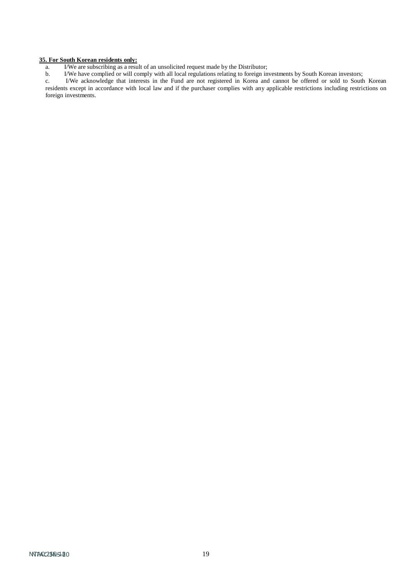#### **35. For South Korean residents only:**

a. I/We are subscribing as a result of an unsolicited request made by the Distributor;

b. I/We have complied or will comply with all local regulations relating to foreign investments by South Korean investors;

c. I/We acknowledge that interests in the Fund are not registered in Korea and cannot be offered or sold to South Korean residents except in accordance with local law and if the purchaser complies with any applicable restrictions including restrictions on foreign investments.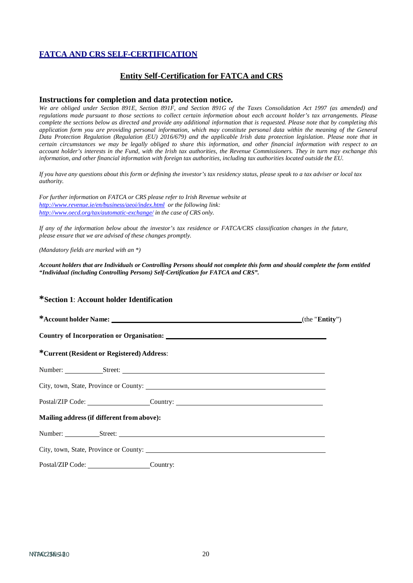# **FATCA AND CRS SELF-CERTIFICATION**

# **Entity Self-Certification for FATCA and CRS**

## **Instructions for completion and data protection notice.**

*We are obliged under Section 891E, Section 891F, and Section 891G of the Taxes Consolidation Act 1997 (as amended) and*  regulations made pursuant to those sections to collect certain information about each account holder's tax arrangements. Please complete the sections below as directed and provide any additional information that is requested. Please note that by completing this application form you are providing personal information, which may constitute personal data within the meaning of the General Data Protection Regulation (Regulation (EU) 2016/679) and the applicable Irish data protection legislation. Please note that in certain circumstances we may be legally obliged to share this information, and other financial information with respect to an account holder's interests in the Fund, with the Irish tax authorities, the Revenue Commissioners. They in turn may exchange this *information, and other financial information with foreign tax authorities, including tax authorities located outside the EU.*

If you have any questions about this form or defining the investor's tax residency status, please speak to a tax adviser or local tax *authority.*

*For further information on FATCA or CRS please refer to Irish Revenue website at <http://www.revenue.ie/en/business/aeoi/index.html> or the following link: <http://www.oecd.org/tax/automatic-exchange/> in the case of CRS only.*

If any of the information below about the investor's tax residence or FATCA/CRS classification changes in the future, *please ensure that we are advised of these changes promptly.*

*(Mandatory fields are marked with an \*)*

*Account holders that are Individuals or Controlling Persons should not complete this form and should complete the form entitled "Individual (including Controlling Persons) Self-Certification for FATCA and CRS".*

#### **\*Section 1**: **Account holder Identification**

| *Current (Resident or Registered) Address:                                                                                                                                                                                     |  |  |  |  |
|--------------------------------------------------------------------------------------------------------------------------------------------------------------------------------------------------------------------------------|--|--|--|--|
| Number: Street: Street: Street: Street: Street: Street: Street: Street: Street: Street: Street: Street: Street: Street: Street: Street: Street: Street: Street: Street: Street: Street: Street: Street: Street: Street: Street |  |  |  |  |
|                                                                                                                                                                                                                                |  |  |  |  |
| Postal/ZIP Code: ___________________Country: ___________________________________                                                                                                                                               |  |  |  |  |
| Mailing address (if different from above):                                                                                                                                                                                     |  |  |  |  |
|                                                                                                                                                                                                                                |  |  |  |  |
|                                                                                                                                                                                                                                |  |  |  |  |
| Postal/ZIP Code: Country:                                                                                                                                                                                                      |  |  |  |  |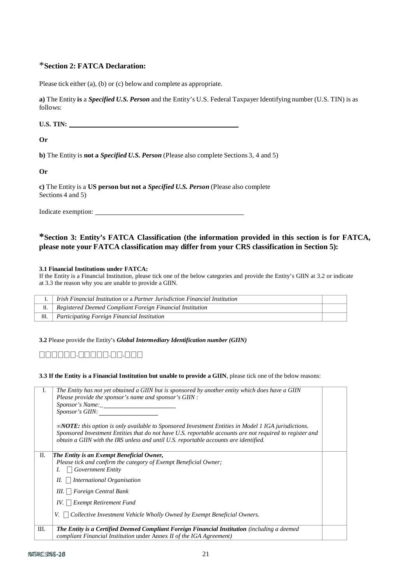# \***Section 2: FATCA Declaration:**

Please tick either (a), (b) or (c) belowand complete as appropriate.

**a)** The Entity **is** a *Specified U.S. Person* and the Entity's U.S. Federal Taxpayer Identifying number (U.S. TIN) is as follows:

**U.S. TIN:**

**Or**

**b)** The Entity is **not a** *Specified U.S. Person* (Please also complete Sections 3, 4 and 5)

**Or**

**c)** The Entity is a **US person but not a** *Specified U.S. Person* (Please also complete Sections 4 and 5)

Indicate exemption:

# **\*Section 3: Entity's FATCA Classification (the information provided in this section is for FATCA, please note your FATCA classification may differ from your CRS classification in Section 5):**

#### **3.1 Financial Institutions under FATCA:**

If the Entity is a Financial Institution, please tick one of the below categories and provide the Entity's GIIN at 3.2 or indicate at 3.3 the reason why you are unable to provide a GIIN.

|      | Irish Financial Institution or a Partner Jurisdiction Financial Institution |  |
|------|-----------------------------------------------------------------------------|--|
|      | Registered Deemed Compliant Foreign Financial Institution                   |  |
| III. | Participating Foreign Financial Institution                                 |  |

**3.2** Please provide the Entity's *Global Intermediary Identification number (GIIN)*

⎕⎕⎕⎕⎕⎕.⎕⎕⎕⎕⎕.⎕⎕.⎕⎕⎕

**3.3 If the Entity is a Financial Institution but unable to provide a GIIN**, please tick one of the below reasons:

| I. | The Entity has not yet obtained a GIIN but is sponsored by another entity which does have a GIIN<br>Please provide the sponsor's name and sponsor's GIIN :<br>Sponsor's Name:<br><i>Sponsor's GIIN:</i><br>$\infty$ <b>NOTE:</b> this option is only available to Sponsored Investment Entities in Model 1 IGA jurisdictions.<br>Sponsored Investment Entities that do not have U.S. reportable accounts are not required to register and<br>obtain a GIIN with the IRS unless and until U.S. reportable accounts are identified. |  |
|----|-----------------------------------------------------------------------------------------------------------------------------------------------------------------------------------------------------------------------------------------------------------------------------------------------------------------------------------------------------------------------------------------------------------------------------------------------------------------------------------------------------------------------------------|--|
| П. | The Entity is an Exempt Beneficial Owner,                                                                                                                                                                                                                                                                                                                                                                                                                                                                                         |  |
|    | Please tick and confirm the category of Exempt Beneficial Owner;                                                                                                                                                                                                                                                                                                                                                                                                                                                                  |  |
|    | <b>Government Entity</b><br>L.                                                                                                                                                                                                                                                                                                                                                                                                                                                                                                    |  |
|    | <b>International Organisation</b><br>$II. \perp$                                                                                                                                                                                                                                                                                                                                                                                                                                                                                  |  |
|    | III.     Foreign Central Bank                                                                                                                                                                                                                                                                                                                                                                                                                                                                                                     |  |
|    | $IV. \perp$ Exempt Retirement Fund                                                                                                                                                                                                                                                                                                                                                                                                                                                                                                |  |
|    | Collective Investment Vehicle Wholly Owned by Exempt Beneficial Owners.<br>V. 1<br>$\overline{\phantom{a}}$                                                                                                                                                                                                                                                                                                                                                                                                                       |  |
| Ш. | <b>The Entity is a Certified Deemed Compliant Foreign Financial Institution</b> (including a deemed                                                                                                                                                                                                                                                                                                                                                                                                                               |  |
|    | compliant Financial Institution under Annex II of the IGA Agreement)                                                                                                                                                                                                                                                                                                                                                                                                                                                              |  |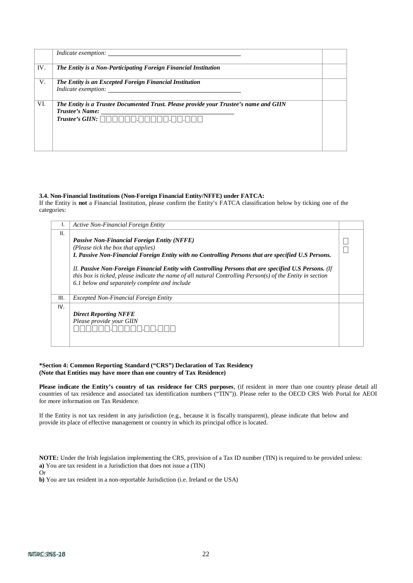|     | <i>Indicate exemption:</i>                                                                                                           |  |
|-----|--------------------------------------------------------------------------------------------------------------------------------------|--|
| IV. | The Entity is a Non-Participating Foreign Financial Institution                                                                      |  |
| V.  | The Entity is an Excepted Foreign Financial Institution                                                                              |  |
| VI. | The Entity is a Trustee Documented Trust. Please provide your Trustee's name and GIIN<br>Trustee's Name:<br>$\emph{Trustee's GIIN:}$ |  |

#### **3.4. Non-Financial Institutions (Non-Foreign Financial Entity/NFFE) under FATCA:**

If the Entity is **not** a Financial Institution, please confirm the Entity's FATCA classification below by ticking one of the categories:

| ь.   | Active Non-Financial Foreign Entity                                                                                                                                                                                                                                  |  |
|------|----------------------------------------------------------------------------------------------------------------------------------------------------------------------------------------------------------------------------------------------------------------------|--|
| II.  |                                                                                                                                                                                                                                                                      |  |
|      | <b>Passive Non-Financial Foreign Entity (NFFE)</b>                                                                                                                                                                                                                   |  |
|      | (Please tick the box that applies)                                                                                                                                                                                                                                   |  |
|      | I. Passive Non-Financial Foreign Entity with no Controlling Persons that are specified U.S Persons.                                                                                                                                                                  |  |
|      | II. Passive Non-Foreign Financial Entity with Controlling Persons that are specified U.S Persons. (If<br>this box is ticked, please indicate the name of all natural Controlling Person(s) of the Entity in section<br>6.1 below and separately complete and include |  |
| III. | <i>Excepted Non-Financial Foreign Entity</i>                                                                                                                                                                                                                         |  |
| IV.  |                                                                                                                                                                                                                                                                      |  |
|      | <b>Direct Reporting NFFE</b>                                                                                                                                                                                                                                         |  |
|      | Please provide your GIIN                                                                                                                                                                                                                                             |  |
|      |                                                                                                                                                                                                                                                                      |  |
|      |                                                                                                                                                                                                                                                                      |  |
|      |                                                                                                                                                                                                                                                                      |  |

#### **\*Section 4: Common Reporting Standard ("CRS") Declaration of Tax Residency (Note that Entities may have more than one country of Tax Residence)**

**Please indicate the Entity's country of tax residence for CRS purposes**, (if resident in more than one country please detail all countries of tax residence and associated tax identification numbers ("TIN")). Please refer to the OECD CRS Web Portal for AEOI for more information on Tax Residence.

If the Entity is not tax resident in any jurisdiction (e.g., because it is fiscally transparent), please indicate that below and provide its place of effective management or country in which its principal office is located.

**NOTE:** Under the Irish legislation implementing the CRS, provision of a Tax ID number (TIN) is required to be provided unless: **a)** You are tax resident in a Jurisdiction that does not issue a (TIN)

Or

**b)** You are tax resident in a non-reportable Jurisdiction (i.e. Ireland or the USA)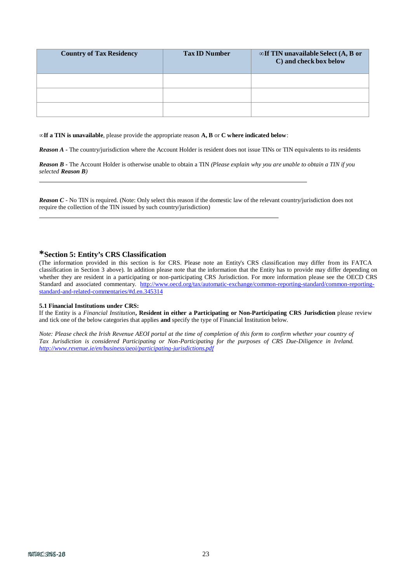| <b>Country of Tax Residency</b> | <b>Tax ID Number</b> | $\infty$ If TIN unavailable Select (A, B or<br>C) and check box below |
|---------------------------------|----------------------|-----------------------------------------------------------------------|
|                                 |                      |                                                                       |
|                                 |                      |                                                                       |
|                                 |                      |                                                                       |

**∞If a TIN is unavailable**, please provide the appropriate reason **A, B** or **C where indicated below**:

*Reason A -* The country/jurisdiction where the Account Holder is resident does not issue TINs or TIN equivalents to its residents

*Reason B -* The Account Holder is otherwise unable to obtain a TIN *(Please explain why you are unable to obtain a TIN if you selected Reason B)*

*Reason C*  $\cdot$  No TIN is required. (Note: Only select this reason if the domestic law of the relevant country/jurisdiction does not require the collection of the TIN issued by such country/jurisdiction)

#### **\*Section 5: Entity's CRS Classification**

(The information provided in this section is for CRS. Please note an Entity's CRS classification may differ from its FATCA classification in Section 3 above). In addition please note that the information that the Entity has to provide may differ depending on whether they are resident in a participating or non-participating CRS Jurisdiction. For more information please see the OECD CRS Standard and associated commentary. [http://www.oecd.org/tax/automatic-exchange/common-reporting-standard/common-reporting](http://www.oecd.org/tax/automatic-exchange/common-reporting-standard/common-reporting-standard-and-related-commentaries/#d.en.345314)[standard-and-related-commentaries/#d.en.345314](http://www.oecd.org/tax/automatic-exchange/common-reporting-standard/common-reporting-standard-and-related-commentaries/#d.en.345314)

#### **5.1 Financial Institutions under CRS:**

If the Entity is a *Financial Institution***, Resident in either a Participating or Non-Participating CRS Jurisdiction** please review and tick one of the below categories that applies **and** specify the type of Financial Institution below.

Note: Please check the Irish Revenue AEOI portal at the time of completion of this form to confirm whether your country of *Tax Jurisdiction is considered Participating or Non-Participating for the purposes of CRS Due-Diligence in Ireland. <http://www.revenue.ie/en/business/aeoi/participating-jurisdictions.pdf>*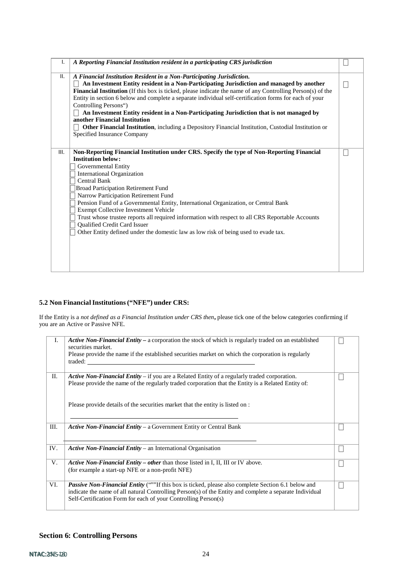| ı.   | A Reporting Financial Institution resident in a participating CRS jurisdiction                                                                                                                                                                                                                                                                                                                                                                                                                                                                                                                                                                                                        |  |
|------|---------------------------------------------------------------------------------------------------------------------------------------------------------------------------------------------------------------------------------------------------------------------------------------------------------------------------------------------------------------------------------------------------------------------------------------------------------------------------------------------------------------------------------------------------------------------------------------------------------------------------------------------------------------------------------------|--|
|      |                                                                                                                                                                                                                                                                                                                                                                                                                                                                                                                                                                                                                                                                                       |  |
| II.  | A Financial Institution Resident in a Non-Participating Jurisdiction.<br>An Investment Entity resident in a Non-Participating Jurisdiction and managed by another<br>Financial Institution (If this box is ticked, please indicate the name of any Controlling Person(s) of the<br>Entity in section 6 below and complete a separate individual self-certification forms for each of your<br>Controlling Persons")<br>An Investment Entity resident in a Non-Participating Jurisdiction that is not managed by<br>another Financial Institution<br>Other Financial Institution, including a Depository Financial Institution, Custodial Institution or<br>Specified Insurance Company |  |
| III. | Non-Reporting Financial Institution under CRS. Specify the type of Non-Reporting Financial<br><b>Institution below:</b><br>Governmental Entity<br><b>International Organization</b><br>Central Bank<br><b>Broad Participation Retirement Fund</b><br>Narrow Participation Retirement Fund<br>Pension Fund of a Governmental Entity, International Organization, or Central Bank<br>Exempt Collective Investment Vehicle<br>Trust whose trustee reports all required information with respect to all CRS Reportable Accounts<br>Qualified Credit Card Issuer<br>Other Entity defined under the domestic law as low risk of being used to evade tax.                                    |  |

### **5.2 Non FinancialInstitutions("NFE") under CRS:**

If the Entity is a *not defined as a Financial Institution under CRS then***,** please tick one of the below categories confirming if you are an Active or Passive NFE.

| I.   | <b>Active Non-Financial Entity</b> – a corporation the stock of which is regularly traded on an established<br>securities market.<br>Please provide the name if the established securities market on which the corporation is regularly<br>traded:                                      |              |
|------|-----------------------------------------------------------------------------------------------------------------------------------------------------------------------------------------------------------------------------------------------------------------------------------------|--------------|
| П.   | Active Non-Financial Entity $-$ if you are a Related Entity of a regularly traded corporation.<br>Please provide the name of the regularly traded corporation that the Entity is a Related Entity of:<br>Please provide details of the securities market that the entity is listed on : |              |
| III. | <b>Active Non-Financial Entity – a Government Entity or Central Bank</b>                                                                                                                                                                                                                |              |
| IV.  | Active Non-Financial Entity – an International Organisation                                                                                                                                                                                                                             |              |
| V.   | Active Non-Financial Entity - other than those listed in I, II, III or IV above.<br>(for example a start-up NFE or a non-profit NFE)                                                                                                                                                    | $\mathbb{L}$ |
| VI.  | <b>Passive Non-Financial Entity</b> (""If this box is ticked, please also complete Section 6.1 below and<br>indicate the name of all natural Controlling Person(s) of the Entity and complete a separate Individual<br>Self-Certification Form for each of your Controlling Person(s)   |              |

# **Section 6: Controlling Persons**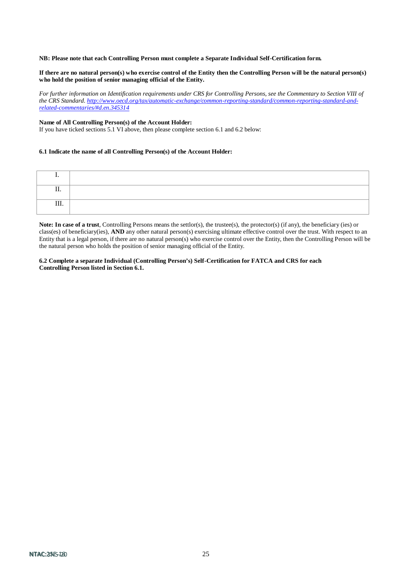#### **NB: Please note that each Controlling Person must complete a Separate Individual Self-Certification form.**

#### If there are no natural person(s) who exercise control of the Entity then the Controlling Person will be the natural person(s) **who hold the position of senior managing official of the Entity.**

*For further information on Identification requirements under CRS for Controlling Persons, see the Commentary to Section VIII of the CRS Standard. [http://www.oecd.org/tax/automatic-exchange/common-reporting-standard/common-reporting-standard-and](http://www.oecd.org/tax/automatic-exchange/common-reporting-standard/common-reporting-standard-and-related-commentaries/#d.en.345314)[related-commentaries/#d.en.345314](http://www.oecd.org/tax/automatic-exchange/common-reporting-standard/common-reporting-standard-and-related-commentaries/#d.en.345314)*

#### **Name of All Controlling Person(s) of the Account Holder:**

If you have ticked sections 5.1 VI above, then please complete section 6.1 and 6.2 below:

#### **6.1 Indicate the name of all Controlling Person(s) of the Account Holder:**

| --<br>         |  |
|----------------|--|
| <b>TTT</b><br> |  |

**Note: In case of a trust**, Controlling Persons means the settlor(s), the trustee(s), the protector(s) (if any), the beneficiary (ies) or class(es) of beneficiary(ies), **AND** any other natural person(s) exercising ultimate effective control over the trust. With respect to an Entity that is a legal person, if there are no natural person(s) who exercise control over the Entity, then the Controlling Person will be the natural person who holds the position of senior managing official of the Entity.

**6.2 Complete a separate Individual (Controlling Person's) Self-Certification for FATCA and CRS for each Controlling Person listed in Section 6.1.**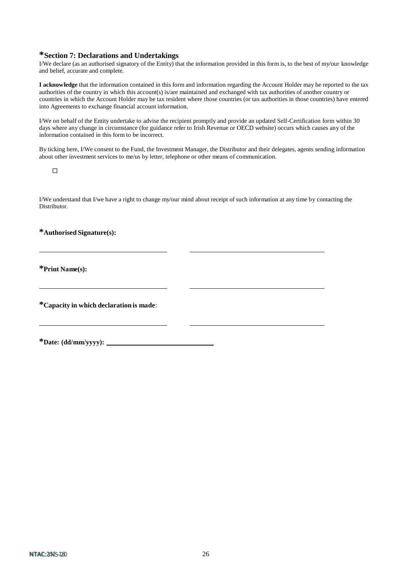# **\*Section 7: Declarations and Undertakings**

I/We declare (as an authorised signatory of the Entity) that the information provided in this form is, to the best of my/our knowledge and belief, accurate and complete.

**I acknowledge** that the information contained in this form and information regarding the Account Holder may be reported to the tax authorities of the country in which this account(s) is/are maintained and exchanged with tax authorities of another country or countries in which the Account Holder may be tax resident where those countries (or tax authorities in those countries) have entered into Agreements to exchange financial account information.

I/We on behalf of the Entity undertake to advise the recipient promptly and provide an updated Self-Certification form within 30 days where any change in circumstance (for guidance refer to Irish Revenue or OECD website) occurs which causes any of the information contained in this form to be incorrect.

By ticking here, I/We consent to the Fund, the Investment Manager, the Distributor and their delegates, agents sending information about other investment services to me/us by letter, telephone or other means of communication.

 $\Box$ 

I/We understand that I/we have a right to change my/our mind about receipt of such information at any time by contacting the Distributor.

**\*Authorised Signature(s):**

**\*Print Name(s):**

**\*Capacity in which declaration is made**:

**\*Date: (dd/mm/yyyy):**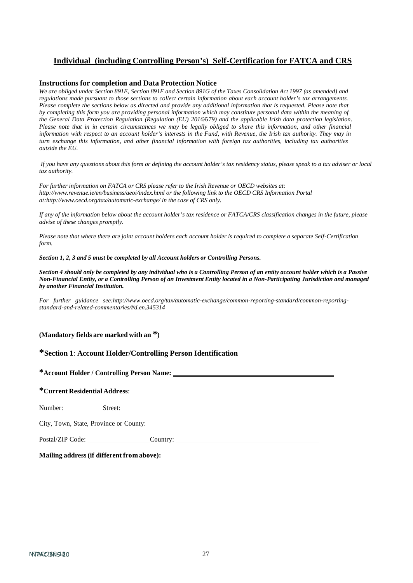# **Individual (including Controlling Person's) Self-Certification for FATCA and CRS**

#### **Instructions for completion and Data Protection Notice**

*We are obliged under Section 891E, Section 891F and Section 891G of the Taxes Consolidation Act 1997 (as amended) and*  regulations made pursuant to those sections to collect certain information about each account holder's tax arrangements. Please complete the sections below as directed and provide any additional information that is requested. Please note that by completing this form you are providing personal information which may constitute personal data within the meaning of the General Data Protection Regulation (Regulation (EU) 2016/679) and the applicable Irish data protection legislation. Please note that in in certain circumstances we may be legally obliged to share this information, and other financial information with respect to an account holder's interests in the Fund, with Revenue, the Irish tax authority. They may in turn exchange this information, and other financial information with foreign tax authorities, including tax authorities *outside the EU.*

*If you have any questions about this form or defining the account holder's tax residency status, please speak to a tax adviser or local tax authority.*

*For further information on FATCA or CRS please refer to the Irish Revenue or OECD websites at[:](http://www.revenue.ie/en/business/aeoi/index.html) <http://www.revenue.ie/en/business/aeoi/index.html> or the following link to the OECD CRS Information Portal [at:http://www.oecd.org/tax/automatic-exchange/](http://www.oecd.org/tax/automatic-exchange/) in the case of CRS only.*

*If any of the information below about the account holder's tax residence or FATCA/CRS classification changes in the future, please advise of these changes promptly.*

*Please note that where there are joint account holders each account holder is required to complete a separate Self-Certification form.*

*Section 1, 2, 3 and 5 must be completed by all Account holders or Controlling Persons.*

Section 4 should only be completed by any individual who is a Controlling Person of an entity account holder which is a Passive Non-Financial Entity, or a Controlling Person of an Investment Entity located in a Non-Participating Jurisdiction and managed *by another Financial Institution.*

*For further guidance se[e:http://www.oecd.org/tax/automatic-exchange/common-reporting-standard/common-reporting](http://www.oecd.org/tax/automatic-exchange/common-reporting-standard/common-reporting-)standard-and-related-commentaries/#d.en.345314*

**(Mandatory fields are marked with an \*)**

#### **\*Section 1**: **Account Holder/Controlling Person Identification**

**\*Account Holder / Controlling Person Name:**

# **\*Current Residential Address**:

Number: Street:

City, Town, State, Province or County:

Postal/ZIP Code: Country: Country:

**Mailing address(if different from above):**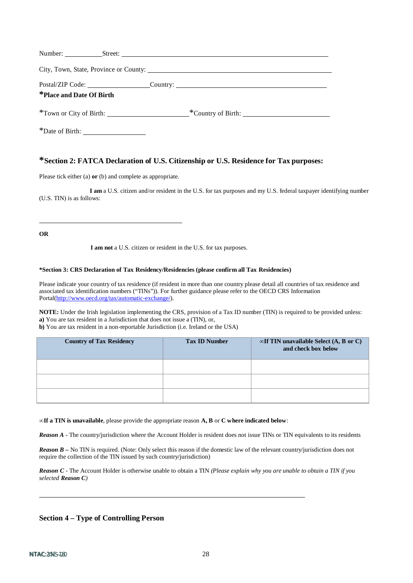| *Place and Date Of Birth | Postal/ZIP Code: ____________________Country: __________________________________ |
|--------------------------|----------------------------------------------------------------------------------|
|                          |                                                                                  |
|                          |                                                                                  |

\*Date of Birth:

# **\*Section 2: FATCA Declaration of U.S. Citizenship or U.S. Residence for Tax purposes:**

Please tick either (a) **or** (b) and complete as appropriate.

**I am** a U.S. citizen and/or resident in the U.S. for tax purposes and my U.S. federal taxpayer identifying number (U.S. TIN) is as follows:

**OR**

**I am not** a U.S. citizen or resident in the U.S. for tax purposes.

#### **\*Section 3: CRS Declaration of Tax Residency/Residencies (please confirm all Tax Residencies)**

Please indicate your country of tax residence (if resident in more than one country please detail all countries of tax residence and associated tax identification numbers ("TINs")). For further guidance please refer to the OECD CRS Information P[ortal\(http://www.oecd.org/tax/automatic-exchange/\)](http://www.oecd.org/tax/automatic-exchange/).

**NOTE:** Under the Irish legislation implementing the CRS, provision of a Tax ID number (TIN) is required to be provided unless: **a)** You are tax resident in a Jurisdiction that does not issue a (TIN), or, **b)** You are tax resident in a non-reportable Jurisdiction (i.e. Ireland or the USA)

| <b>Country of Tax Residency</b> | <b>Tax ID Number</b> | $\infty$ If TIN unavailable Select (A, B or C)<br>and check box below |
|---------------------------------|----------------------|-----------------------------------------------------------------------|
|                                 |                      |                                                                       |
|                                 |                      |                                                                       |
|                                 |                      |                                                                       |

**∞If a TIN is unavailable**, please provide the appropriate reason **A, B** or **C where indicated below**:

*Reason A* - The country/jurisdiction where the Account Holder is resident does not issue TINs or TIN equivalents to its residents

*Reason*  $B$  *– No TIN* is required. (Note: Only select this reason if the domestic law of the relevant country/jurisdiction does not require the collection of the TIN issued by such country/jurisdiction)

*Reason C -* The Account Holder is otherwise unable to obtain a TIN *(Please explain why you are unable to obtain a TIN if you selected Reason C)*

# **Section 4 – Type of Controlling Person**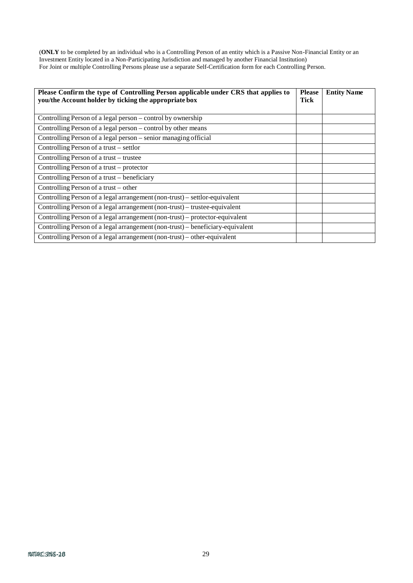(**ONLY** to be completed by an individual who is a Controlling Person of an entity which is a Passive Non-Financial Entity or an Investment Entity located in a Non-Participating Jurisdiction and managed by another Financial Institution) For Joint or multiple Controlling Persons please use a separate Self-Certification form for each Controlling Person.

| Please Confirm the type of Controlling Person applicable under CRS that applies to<br>you/the Account holder by ticking the appropriate box |  | <b>Entity Name</b> |
|---------------------------------------------------------------------------------------------------------------------------------------------|--|--------------------|
|                                                                                                                                             |  |                    |
| Controlling Person of a legal person – control by ownership                                                                                 |  |                    |
| Controlling Person of a legal person – control by other means                                                                               |  |                    |
| Controlling Person of a legal person - senior managing official                                                                             |  |                    |
| Controlling Person of a trust – settlor                                                                                                     |  |                    |
| Controlling Person of a trust-trustee                                                                                                       |  |                    |
| Controlling Person of a trust – protector                                                                                                   |  |                    |
| Controlling Person of a trust – beneficiary                                                                                                 |  |                    |
| Controlling Person of a trust – other                                                                                                       |  |                    |
| Controlling Person of a legal arrangement (non-trust) – settlor-equivalent                                                                  |  |                    |
| Controlling Person of a legal arrangement (non-trust) – trustee-equivalent                                                                  |  |                    |
| Controlling Person of a legal arrangement (non-trust) – protector-equivalent                                                                |  |                    |
| Controlling Person of a legal arrangement (non-trust) – beneficiary-equivalent                                                              |  |                    |
| Controlling Person of a legal arrangement (non-trust) – other-equivalent                                                                    |  |                    |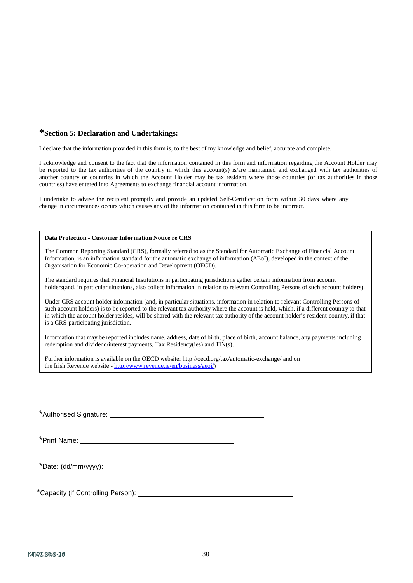#### **\*Section 5: Declaration and Undertakings:**

I declare that the information provided in this form is, to the best of my knowledge and belief, accurate and complete.

I acknowledge and consent to the fact that the information contained in this form and information regarding the Account Holder may be reported to the tax authorities of the country in which this account(s) is/are maintained and exchanged with tax authorities of another country or countries in which the Account Holder may be tax resident where those countries (or tax authorities in those countries) have entered into Agreements to exchange financial account information.

I undertake to advise the recipient promptly and provide an updated Self-Certification form within 30 days where any change in circumstances occurs which causes any of the information contained in this form to be incorrect.

#### **Data Protection - Customer Information Notice re CRS**

The Common Reporting Standard (CRS), formally referred to as the Standard for Automatic Exchange of Financial Account Information, is an information standard for the automatic exchange of information (AEoI), developed in the context of the Organisation for Economic Co-operation and Development (OECD).

The standard requires that Financial Institutions in participating jurisdictions gather certain information from account holders(and, in particular situations, also collect information in relation to relevant Controlling Persons of such account holders).

Under CRS account holder information (and, in particular situations, information in relation to relevant Controlling Persons of such account holders) is to be reported to the relevant tax authority where the account is held, which, if a different country to that in which the account holder resides, will be shared with the relevant tax authority of the account holder's resident country, if that is a CRS-participating jurisdiction.

Information that may be reported includes name, address, date of birth, place of birth, account balance, any payments including redemption and dividend/interest payments, Tax Residency(ies) and TIN(s).

Further information is available on the OECD website: <http://oecd.org/tax/automatic-exchange/> and on the Irish Revenue website - [http://www.revenue.ie/en/business/aeoi/\)](http://www.revenue.ie/en/business/aeoi/)

\*Authorised Signature:

\*Date: (dd/mm/yyyy):

\*Capacity (if Controlling Person):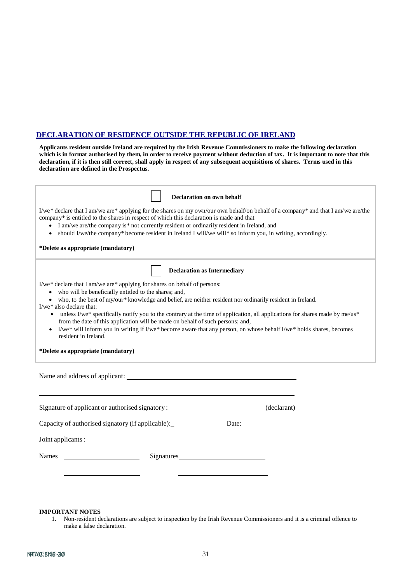# **DECLARATION OF RESIDENCE OUTSIDE THE REPUBLIC OF IRELAND**

**Applicants resident outside Ireland are required by the Irish Revenue Commissioners to make the following declaration**  which is in format authorised by them, in order to receive payment without deduction of tax. It is important to note that this declaration, if it is then still correct, shall apply in respect of any subsequent acquisitions of shares. Terms used in this **declaration are defined in the Prospectus.**

| <b>Declaration on own behalf</b>                                                                                                                                                      |  |
|---------------------------------------------------------------------------------------------------------------------------------------------------------------------------------------|--|
| I/we* declare that I am/we are* applying for the shares on my own/our own behalf/on behalf of a company* and that I am/we are/the                                                     |  |
| company* is entitled to the shares in respect of which this declaration is made and that<br>I am/we are/the company is* not currently resident or ordinarily resident in Ireland, and |  |
| should I/we/the company* become resident in Ireland I will/we will* so inform you, in writing, accordingly.<br>$\bullet$                                                              |  |
|                                                                                                                                                                                       |  |
| *Delete as appropriate (mandatory)                                                                                                                                                    |  |
| <b>Declaration as Intermediary</b>                                                                                                                                                    |  |
| I/we* declare that I am/we are* applying for shares on behalf of persons:                                                                                                             |  |
| • who will be beneficially entitled to the shares; and,                                                                                                                               |  |
| • who, to the best of my/our* knowledge and belief, are neither resident nor ordinarily resident in Ireland.<br>I/we* also declare that:                                              |  |
| • unless I/we* specifically notify you to the contrary at the time of application, all applications for shares made by me/us*                                                         |  |
| from the date of this application will be made on behalf of such persons; and,                                                                                                        |  |
| • I/we* will inform you in writing if I/we* become aware that any person, on whose behalf I/we* holds shares, becomes<br>resident in Ireland.                                         |  |
|                                                                                                                                                                                       |  |
| *Delete as appropriate (mandatory)                                                                                                                                                    |  |
|                                                                                                                                                                                       |  |
|                                                                                                                                                                                       |  |
|                                                                                                                                                                                       |  |
|                                                                                                                                                                                       |  |
|                                                                                                                                                                                       |  |
| Signature of applicant or authorised signatory: ___________________________(declarant)                                                                                                |  |
| Capacity of authorised signatory (if applicable):______________________Date: _______________________                                                                                  |  |
| Joint applicants :                                                                                                                                                                    |  |
|                                                                                                                                                                                       |  |
| <b>Names</b>                                                                                                                                                                          |  |
|                                                                                                                                                                                       |  |
|                                                                                                                                                                                       |  |
|                                                                                                                                                                                       |  |
|                                                                                                                                                                                       |  |
|                                                                                                                                                                                       |  |
| <b>IMPORTANT NOTES</b>                                                                                                                                                                |  |

1. Non-resident declarations are subject to inspection by the Irish Revenue Commissioners and it is a criminal offence to make a false declaration.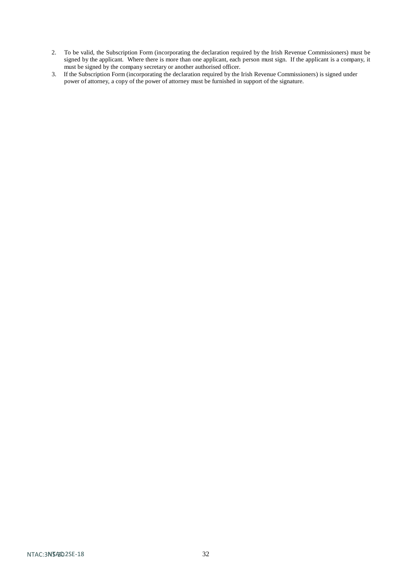- 2. To be valid, the Subscription Form (incorporating the declaration required by the Irish Revenue Commissioners) must be signed by the applicant. Where there is more than one applicant, each person must sign. If the applicant is a company, it must be signed by the company secretary or another authorised officer.
- 3. If the Subscription Form (incorporating the declaration required by the Irish Revenue Commissioners) is signed under power of attorney, a copy of the power of attorney must be furnished in support of the signature.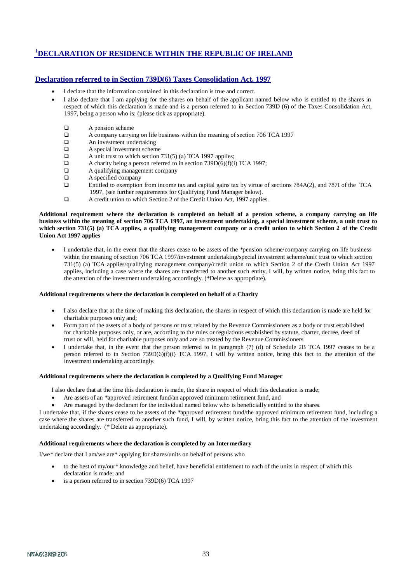# **1 DECLARATION OF RESIDENCE WITHIN THE REPUBLIC OF IRELAND**

#### **Declaration referred to in Section 739D(6) Taxes Consolidation Act, 1997**

- I declare that the information contained in this declaration is true and correct.
- I also declare that I am applying for the shares on behalf of the applicant named below who is entitled to the shares in respect of which this declaration is made and is a person referred to in Section 739D (6) of the Taxes Consolidation Act, 1997, being a person who is: (please tick as appropriate).
	- $\Box$  A pension scheme<br> $\Box$  A company carryin
	- $\Box$  A company carrying on life business within the meaning of section 706 TCA 1997<br>An investment undertaking
	- An investment undertaking
	- $\Box$  A special investment scheme<br> $\Box$  A unit trust to which section
	- A unit trust to which section 731(5) (a) TCA 1997 applies;
	- $\Box$  A charity being a person referred to in section 739D(6)(f)(i) TCA 1997;
	- A qualifying management company
	- A specified company
	- Entitled to exemption from income tax and capital gains tax by virtue of sections 784A(2), and 787I of the TCA 1997, (see further requirements for Qualifying Fund Manager below).
	- A credit union to which Section 2 of the Credit Union Act, 1997 applies.

#### Additional requirement where the declaration is completed on behalf of a pension scheme, a company carrying on life business within the meaning of section 706 TCA 1997, an investment undertaking, a special investment scheme, a unit trust to which section 731(5) (a) TCA applies, a qualifying management company or a credit union to which Section 2 of the Credit **Union Act 1997 applies**

• I undertake that, in the event that the shares cease to be assets of the \*pension scheme/company carrying on life business within the meaning of section 706 TCA 1997/investment undertaking/special investment scheme/unit trust to which section 731(5) (a) TCA applies/qualifying management company/credit union to which Section 2 of the Credit Union Act 1997 applies, including a case where the shares are transferred to another such entity, I will, by written notice, bring this fact to the attention of the investment undertaking accordingly. (\*Delete as appropriate).

#### **Additional requirements where the declaration is completed on behalf of a Charity**

- I also declare that at the time of making this declaration, the shares in respect of which this declaration is made are held for charitable purposes only and;
- Form part of the assets of a body of persons or trust related by the Revenue Commissioners as a body or trust established for charitable purposes only, or are, according to the rules or regulations established by statute, charter, decree, deed of trust or will, held for charitable purposes only and are so treated by the Revenue Commissioners
- I undertake that, in the event that the person referred to in paragraph (7) (d) of Schedule 2B TCA 1997 ceases to be a person referred to in Section 739D(6)(f)(i) TCA 1997, I will by written notice, bring this fact to the attention of the investment undertaking accordingly.

#### **Additional requirements where the declaration is completed by a Qualifying Fund Manager**

I also declare that at the time this declaration is made, the share in respect of which this declaration is made;

- Are assets of an \*approved retirement fund/an approved minimum retirement fund, and
- Are managed by the declarant for the individual named below who is beneficially entitled to the shares.

I undertake that, if the shares cease to be assets of the \*approved retirement fund/the approved minimum retirement fund, including a case where the shares are transferred to another such fund, I will, by written notice, bring this fact to the attention of the investment undertaking accordingly. (\* Delete as appropriate).

#### **Additional requirements where the declaration is completed by an Intermediary**

I/we\* declare that I am/we are\* applying for shares/units on behalf of persons who

- to the best of my/our\* knowledge and belief, have beneficial entitlement to each of the units in respect of which this declaration is made; and
- is a person referred to in section 739D(6) TCA 1997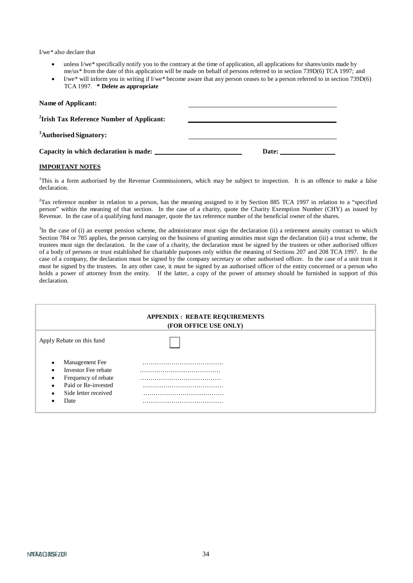I/we\* also declare that

- unless I/we\* specifically notify you to the contrary at the time of application, all applications for shares/units made by me/us\* from the date of this application will be made on behalf of persons referred to in section 739D(6) TCA 1997; and
- I/we\* will inform you in writing if I/we\* become aware that any person ceases to be a person referred to in section 739D(6) TCA 1997. **\* Delete as appropriate**

| Name of Applicant:                                    |       |
|-------------------------------------------------------|-------|
| <sup>2</sup> Irish Tax Reference Number of Applicant: |       |
| <sup>3</sup> Authorised Signatory:                    |       |
| Capacity in which declaration is made:                | Date: |

#### **IMPORTANT NOTES**

1 This is a form authorised by the Revenue Commissioners, which may be subject to inspection. It is an offence to make a false declaration.

<sup>2</sup>Tax reference number in relation to a person, has the meaning assigned to it by Section 885 TCA 1997 in relation to a "specified" person" within the meaning of that section. In the case of a charity, quote the Charity Exemption Number (CHY) as issued by Revenue. In the case of a qualifying fund manager, quote the tax reference number of the beneficial owner of the shares.

 ${}^{3}$ In the case of (i) an exempt pension scheme, the administrator must sign the declaration (ii) a retirement annuity contract to which Section 784 or 785 applies, the person carrying on the business of granting annuities must sign the declaration (iii) a trust scheme, the trustees must sign the declaration. In the case of a charity, the declaration must be signed by the trustees or other authorised officer of a body of persons or trust established for charitable purposes only within the meaning of Sections 207 and 208 TCA 1997. In the case of a company, the declaration must be signed by the company secretary or other authorised officer. In the case of a unit trust it must be signed by the trustees. In any other case, it must be signed by an authorised officer of the entity concerned or a person who holds a power of attorney from the entity. If the latter, a copy of the power of attorney should be furnished in support of this declaration.

| <b>APPENDIX: REBATE REQUIREMENTS</b><br>(FOR OFFICE USE ONLY)                                                                                                                |  |  |
|------------------------------------------------------------------------------------------------------------------------------------------------------------------------------|--|--|
| Apply Rebate on this fund                                                                                                                                                    |  |  |
| Management Fee<br>$\bullet$<br>Investor Fee rebate<br>$\bullet$<br>Frequency of rebate<br>٠<br>Paid or Re-invested<br>$\bullet$<br>Side letter received<br>$\bullet$<br>Date |  |  |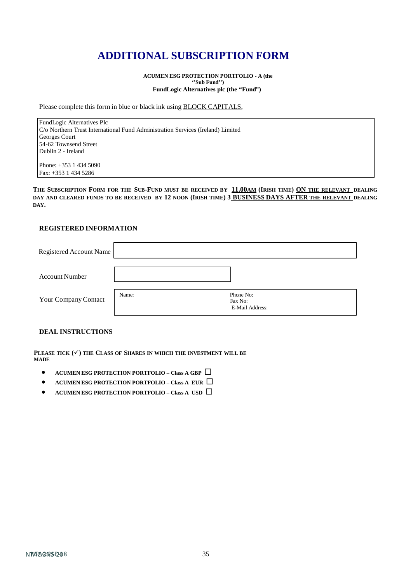# **ADDITIONAL SUBSCRIPTION FORM**

**ACUMEN ESG PROTECTION PORTFOLIO - A (the ''Sub Fund'') FundLogic Alternatives plc (the "Fund")**

Please complete this form in blue or black ink using BLOCK CAPITALS,

FundLogic Alternatives Plc C/o Northern Trust International Fund Administration Services (Ireland) Limited Georges Court 54-62 Townsend Street Dublin 2 - Ireland

Phone: +353 1 434 5090 Fax: +353 1 434 5286

**THE SUBSCRIPTION FORM FOR THE SUB-FUND MUST BE RECEIVED BY 11.00AM (IRISH TIME) ON THE RELEVANT DEALING DAY AND CLEARED FUNDS TO BE RECEIVED BY 12 NOON (IRISH TIME) 3 BUSINESS DAYS AFTER THE RELEVANT DEALING DAY.**

# **REGISTERED INFORMATION**

| Registered Account Name |       |                                         |
|-------------------------|-------|-----------------------------------------|
| <b>Account Number</b>   |       |                                         |
| Your Company Contact    | Name: | Phone No:<br>Fax No:<br>E-Mail Address: |

#### **DEAL INSTRUCTIONS**

**PLEASE TICK**  $($  **V**) **THE CLASS OF SHARES** IN WHICH THE INVESTMENT WILL BE **MADE**

- **ACUMEN ESG PROTECTION PORTFOLIO – Class A GBP**
- **ACUMEN ESG PROTECTION PORTFOLIO – Class A EUR**
- **ACUMEN ESG PROTECTION PORTFOLIO – Class A USD**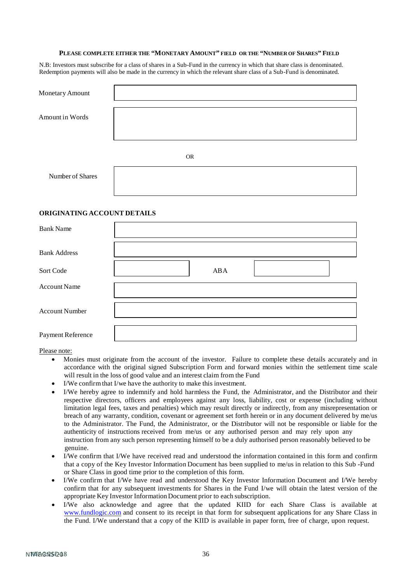#### **PLEASE COMPLETE EITHER THE "MONETARY AMOUNT" FIELD OR THE "NUMBER OF SHARES" FIELD**

N.B: Investors must subscribe for a class of shares in a Sub-Fund in the currency in which that share class is denominated. Redemption payments will also be made in the currency in which the relevant share class of a Sub-Fund is denominated.

| Monetary Amount  |           |
|------------------|-----------|
| Amount in Words  |           |
|                  | <b>OR</b> |
| Number of Shares |           |

#### **ORIGINATING ACCOUNT DETAILS**

| <b>Bank Name</b>      |     |  |
|-----------------------|-----|--|
| <b>Bank Address</b>   |     |  |
| Sort Code             | ABA |  |
| <b>Account Name</b>   |     |  |
| <b>Account Number</b> |     |  |
| Payment Reference     |     |  |

Please note:

- Monies must originate from the account of the investor. Failure to complete these details accurately and in accordance with the original signed Subscription Form and forward monies within the settlement time scale will result in the loss of good value and an interest claim from the Fund
- I/We confirm that I/we have the authority to make this investment.
- I/We hereby agree to indemnify and hold harmless the Fund, the Administrator, and the Distributor and their respective directors, officers and employees against any loss, liability, cost or expense (including without limitation legal fees, taxes and penalties) which may result directly or indirectly, from any misrepresentation or breach of any warranty, condition, covenant or agreement set forth herein or in any document delivered by me/us to the Administrator. The Fund, the Administrator, or the Distributor will not be responsible or liable for the authenticity of instructions received from me/us or any authorised person and may rely upon any instruction from any such person representing himself to be a duly authorised person reasonably believed to be genuine.
- I/We confirm that I/We have received read and understood the information contained in this form and confirm that a copy of the Key Investor Information Document has been supplied to me/us in relation to this Sub -Fund or Share Class in good time prior to the completion of this form.
- I/We confirm that I/We have read and understood the Key Investor Information Document and I/We hereby confirm that for any subsequent investments for Shares in the Fund I/we will obtain the latest version of the appropriate Key Investor Information Document prior to each subscription.
- I/We also acknowledge and agree that the updated KIID for each Share Class is available at [www.fundlogic.com](http://www.fundlogic.com/) and consent to its receipt in that form for subsequent applications for any Share Class in the Fund. I/We understand that a copy of the KIID is available in paper form, free of charge, upon request.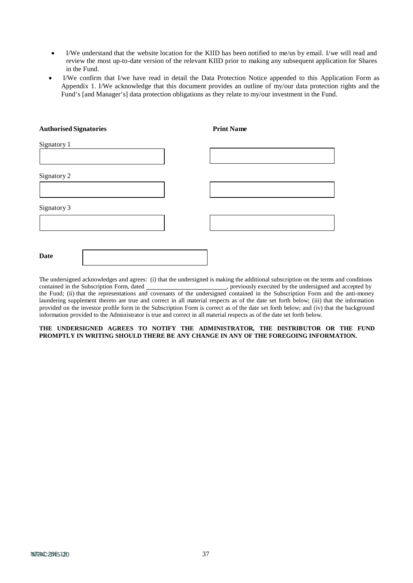- I/We understand that the website location for the KIID has been notified to me/us by email. I/we will read and review the most up-to-date version of the relevant KIID prior to making any subsequent application for Shares in the Fund.
- I/We confirm that I/we have read in detail the Data Protection Notice appended to this Application Form as Appendix 1. I/We acknowledge that this document provides an outline of my/our data protection rights and the Fund's [and Manager's] data protection obligations as they relate to my/our investment in the Fund.

| <b>Authorised Signatories</b> | <b>Print Name</b> |
|-------------------------------|-------------------|
| Signatory 1                   |                   |
|                               |                   |
| Signatory 2                   |                   |
|                               |                   |
| Signatory 3                   |                   |
|                               |                   |
|                               |                   |
| <b>Date</b>                   |                   |

The undersigned acknowledges and agrees: (i) that the undersigned is making the additional subscription on the terms and conditions  $\Box$ , previously executed by the undersigned and accepted by the Fund; (ii) that the representations and covenants of the undersigned contained in the Subscription Form and the anti-money laundering supplement thereto are true and correct in all material respects as of the date set forth below; (iii) that the information provided on the investor profile form in the Subscription Form is correct as of the date set forth below; and (iv) that the background information provided to the Administrator is true and correct in all material respects as of the date set forth below.

#### **THE UNDERSIGNED AGREES TO NOTIFY THE ADMINISTRATOR, THE DISTRIBUTOR OR THE FUND PROMPTLY IN WRITING SHOULD THERE BE ANY CHANGE IN ANY OF THE FOREGOING INFORMATION.**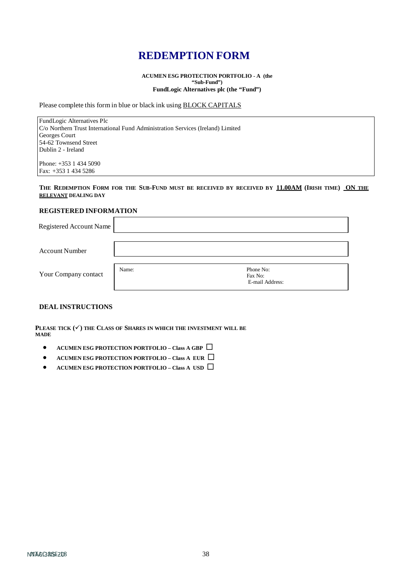# **REDEMPTION FORM**

**ACUMEN ESG PROTECTION PORTFOLIO - A (the "Sub-Fund") FundLogic Alternatives plc (the "Fund")**

Please complete this form in blue or black ink using BLOCK CAPITALS

FundLogic Alternatives Plc C/o Northern Trust International Fund Administration Services (Ireland) Limited Georges Court 54-62 Townsend Street Dublin 2 - Ireland

Phone: +353 1 434 5090 Fax: +353 1 434 5286

#### **THE REDEMPTION FORM FOR THE SUB-FUND MUST BE RECEIVED BY RECEIVED BY 11.00AM (IRISH TIME) ON THE RELEVANT DEALING DAY**

#### **REGISTERED INFORMATION**

| Registered Account Name |       |                                         |  |
|-------------------------|-------|-----------------------------------------|--|
| <b>Account Number</b>   |       |                                         |  |
| Your Company contact    | Name: | Phone No:<br>Fax No:<br>E-mail Address: |  |

#### **DEAL INSTRUCTIONS**

PLEASE TICK  $(\checkmark)$  the Class of Shares in which the investment will be **MADE**

- **ACUMEN ESG PROTECTION PORTFOLIO – Class A GBP**
- **ACUMEN ESG PROTECTION PORTFOLIO – Class A EUR**
- **ACUMEN ESG PROTECTION PORTFOLIO – Class A USD**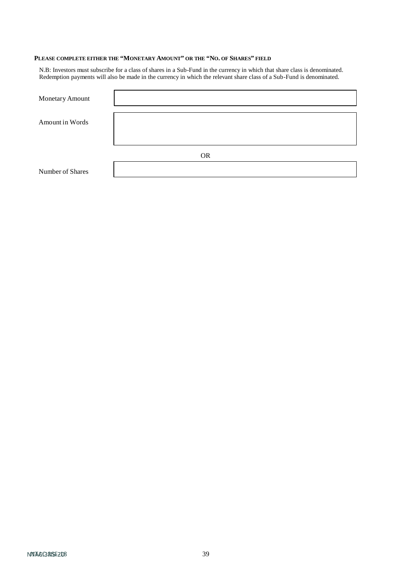## **PLEASE COMPLETE EITHER THE "MONETARY AMOUNT" OR THE "NO. OF SHARES" FIELD**

N.B: Investors must subscribe for a class of shares in a Sub-Fund in the currency in which that share class is denominated. Redemption payments will also be made in the currency in which the relevant share class of a Sub-Fund is denominated.

| Monetary Amount  |           |
|------------------|-----------|
| Amount in Words  |           |
|                  |           |
|                  |           |
|                  | <b>OR</b> |
| Number of Shares |           |

NTAGGRISE 208 200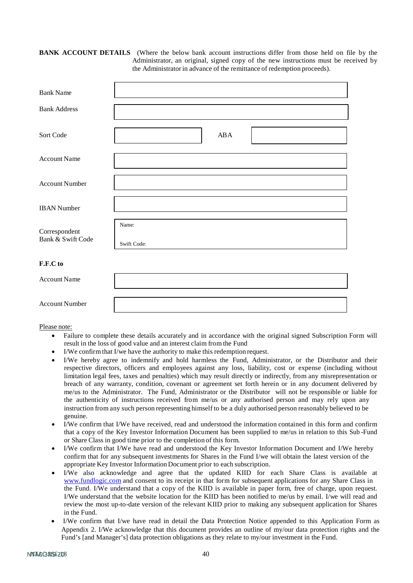#### **BANK ACCOUNT DETAILS** (Where the below bank account instructions differ from those held on file by the Administrator, an original, signed copy of the new instructions must be received by the Administratorin advance of the remittance of redemption proceeds).

| <b>Bank Name</b>                   |                      |
|------------------------------------|----------------------|
| <b>Bank Address</b>                |                      |
| Sort Code                          | ABA                  |
| <b>Account Name</b>                |                      |
| <b>Account Number</b>              |                      |
| <b>IBAN</b> Number                 |                      |
| Correspondent<br>Bank & Swift Code | Name:<br>Swift Code: |
| F.F.C to                           |                      |
| <b>Account Name</b>                |                      |
| <b>Account Number</b>              |                      |

Please note:

- Failure to complete these details accurately and in accordance with the original signed Subscription Form will result in the loss of good value and an interest claim from the Fund
- I/We confirm that I/we have the authority to make this redemption request.
- I/We hereby agree to indemnify and hold harmless the Fund, Administrator, or the Distributor and their respective directors, officers and employees against any loss, liability, cost or expense (including without limitation legal fees, taxes and penalties) which may result directly or indirectly, from any misrepresentation or breach of any warranty, condition, covenant or agreement set forth herein or in any document delivered by me/us to the Administrator. The Fund, Administrator or the Distributor will not be responsible or liable for the authenticity of instructions received from me/us or any authorised person and may rely upon any instruction from any such person representing himself to be a duly authorised person reasonably believed to be genuine.
- I/We confirm that I/We have received, read and understood the information contained in this form and confirm that a copy of the Key Investor Information Document has been supplied to me/us in relation to this Sub -Fund or Share Class in good time prior to the completion of this form.
- I/We confirm that I/We have read and understood the Key Investor Information Document and I/We hereby confirm that for any subsequent investments for Shares in the Fund I/we will obtain the latest version of the appropriate Key Investor Information Document prior to each subscription.
- I/We also acknowledge and agree that the updated KIID for each Share Class is available at [www.fundlogic.com](http://www.fundlogic.com/) and consent to its receipt in that form for subsequent applications for any Share Class in the Fund. I/We understand that a copy of the KIID is available in paper form, free of charge, upon request. I/We understand that the website location for the KIID has been notified to me/us by email. I/we will read and review the most up-to-date version of the relevant KIID prior to making any subsequent application for Shares in the Fund.
- I/We confirm that I/we have read in detail the Data Protection Notice appended to this Application Form as Appendix 2. I/We acknowledge that this document provides an outline of my/our data protection rights and the Fund's [and Manager's] data protection obligations as they relate to my/our investment in the Fund.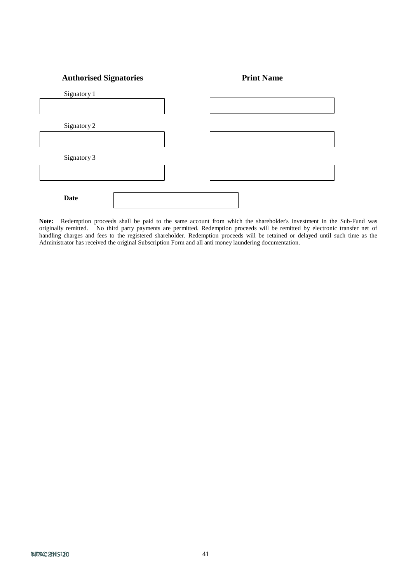# **Authorised Signatories Print Name**

| Signatory 1 |  |  |
|-------------|--|--|
|             |  |  |
| Signatory 2 |  |  |
|             |  |  |
| Signatory 3 |  |  |
|             |  |  |
| <b>Date</b> |  |  |

**Note:** Redemption proceeds shall be paid to the same account from which the shareholder's investment in the Sub-Fund was originally remitted. No third party payments are permitted. Redemption proceeds will be remitted by electronic transfer net of handling charges and fees to the registered shareholder. Redemption proceeds will be retained or delayed until such time as the Administrator has received the original Subscription Form and all anti money laundering documentation.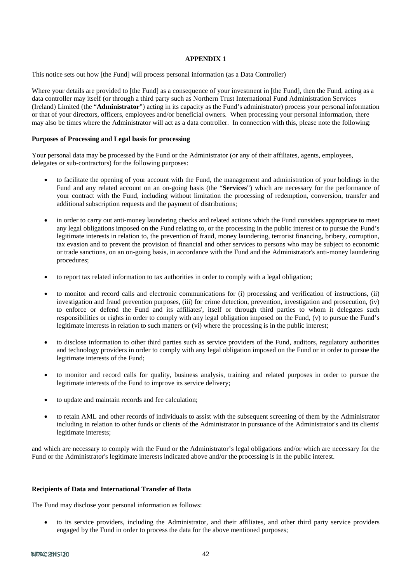#### **APPENDIX 1**

This notice sets out how [the Fund] will process personal information (as a Data Controller)

Where your details are provided to [the Fund] as a consequence of your investment in [the Fund], then the Fund, acting as a data controller may itself (or through a third party such as Northern Trust International Fund Administration Services (Ireland) Limited (the "**Administrator**") acting in its capacity as the Fund's administrator) process your personal information or that of your directors, officers, employees and/or beneficial owners. When processing your personal information, there may also be times where the Administrator will act as a data controller. In connection with this, please note the following:

#### **Purposes of Processing and Legal basis for processing**

Your personal data may be processed by the Fund or the Administrator (or any of their affiliates, agents, employees, delegates or sub-contractors) for the following purposes:

- to facilitate the opening of your account with the Fund, the management and administration of your holdings in the Fund and any related account on an on-going basis (the "**Services**") which are necessary for the performance of your contract with the Fund, including without limitation the processing of redemption, conversion, transfer and additional subscription requests and the payment of distributions;
- in order to carry out anti-money laundering checks and related actions which the Fund considers appropriate to meet any legal obligations imposed on the Fund relating to, or the processing in the public interest or to pursue the Fund's legitimate interests in relation to, the prevention of fraud, money laundering, terrorist financing, bribery, corruption, tax evasion and to prevent the provision of financial and other services to persons who may be subject to economic or trade sanctions, on an on-going basis, in accordance with the Fund and the Administrator's anti-money laundering procedures;
- to report tax related information to tax authorities in order to comply with a legal obligation;
- to monitor and record calls and electronic communications for (i) processing and verification of instructions, (ii) investigation and fraud prevention purposes, (iii) for crime detection, prevention, investigation and prosecution, (iv) to enforce or defend the Fund and its affiliates', itself or through third parties to whom it delegates such responsibilities or rights in order to comply with any legal obligation imposed on the Fund, (v) to pursue the Fund's legitimate interests in relation to such matters or (vi) where the processing is in the public interest;
- to disclose information to other third parties such as service providers of the Fund, auditors, regulatory authorities and technology providers in order to comply with any legal obligation imposed on the Fund or in order to pursue the legitimate interests of the Fund;
- to monitor and record calls for quality, business analysis, training and related purposes in order to pursue the legitimate interests of the Fund to improve its service delivery;
- to update and maintain records and fee calculation;
- to retain AML and other records of individuals to assist with the subsequent screening of them by the Administrator including in relation to other funds or clients of the Administrator in pursuance of the Administrator's and its clients' legitimate interests;

and which are necessary to comply with the Fund or the Administrator's legal obligations and/or which are necessary for the Fund or the Administrator's legitimate interests indicated above and/or the processing is in the public interest.

#### **Recipients of Data and International Transfer of Data**

The Fund may disclose your personal information as follows:

• to its service providers, including the Administrator, and their affiliates, and other third party service providers engaged by the Fund in order to process the data for the above mentioned purposes;